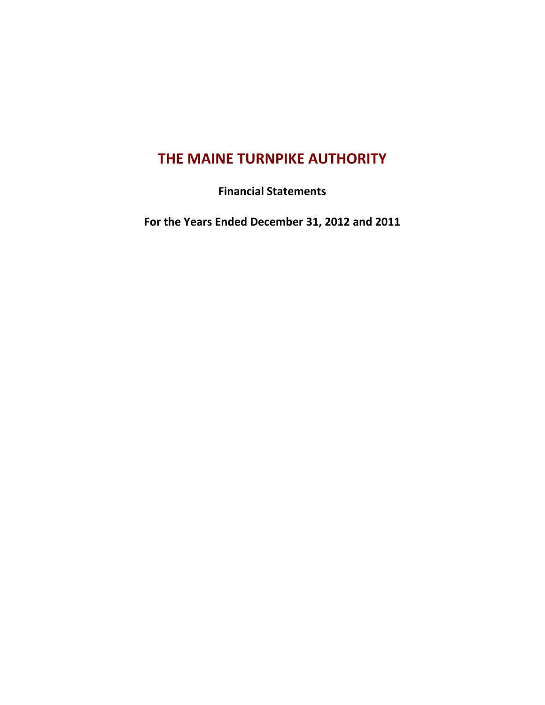# **THE MAINE TURNPIKE AUTHORITY**

**Financial Statements**

**For the Years Ended December 31, 2012 and 2011**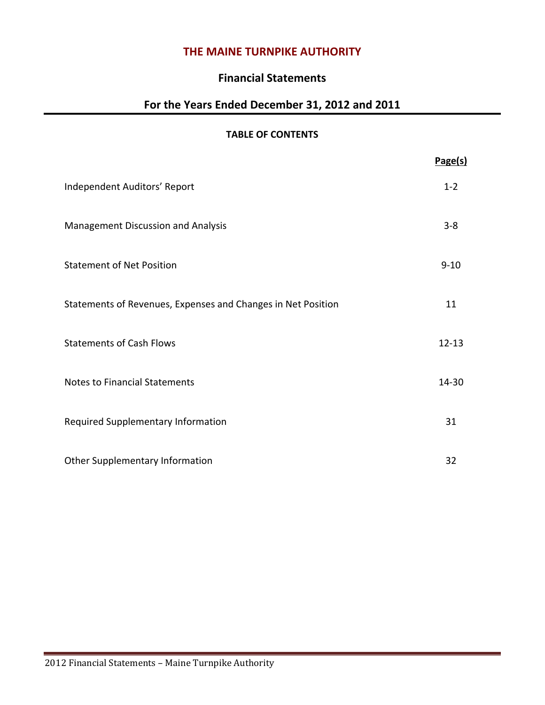# **THE MAINE TURNPIKE AUTHORITY**

# **Financial Statements**

# **For the Years Ended December 31, 2012 and 2011**

# **TABLE OF CONTENTS**

|                                                              | Page(s)   |
|--------------------------------------------------------------|-----------|
| Independent Auditors' Report                                 | $1 - 2$   |
| Management Discussion and Analysis                           | $3 - 8$   |
| <b>Statement of Net Position</b>                             | $9 - 10$  |
| Statements of Revenues, Expenses and Changes in Net Position | 11        |
| <b>Statements of Cash Flows</b>                              | $12 - 13$ |
| <b>Notes to Financial Statements</b>                         | 14-30     |
| Required Supplementary Information                           | 31        |
| Other Supplementary Information                              | 32        |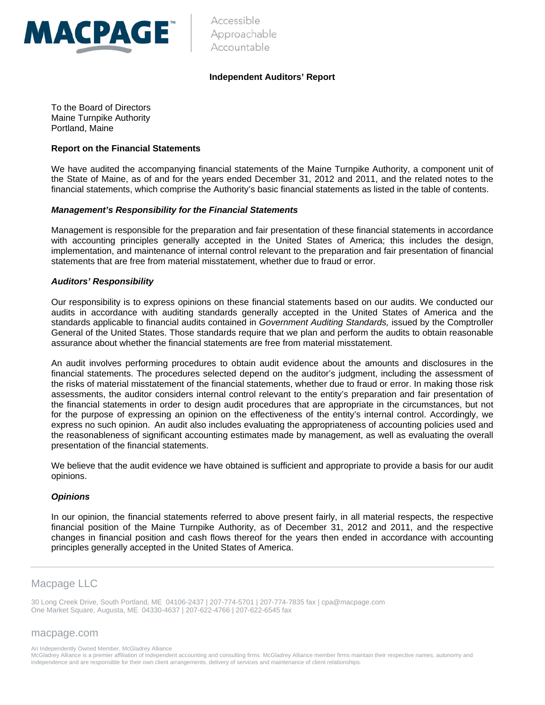

Accessible Approachable Accountable

#### **Independent Auditors' Report**

To the Board of Directors Maine Turnpike Authority Portland, Maine

#### **Report on the Financial Statements**

We have audited the accompanying financial statements of the Maine Turnpike Authority, a component unit of the State of Maine, as of and for the years ended December 31, 2012 and 2011, and the related notes to the financial statements, which comprise the Authority's basic financial statements as listed in the table of contents.

#### *Management's Responsibility for the Financial Statements*

Management is responsible for the preparation and fair presentation of these financial statements in accordance with accounting principles generally accepted in the United States of America; this includes the design, implementation, and maintenance of internal control relevant to the preparation and fair presentation of financial statements that are free from material misstatement, whether due to fraud or error.

#### *Auditors' Responsibility*

Our responsibility is to express opinions on these financial statements based on our audits. We conducted our audits in accordance with auditing standards generally accepted in the United States of America and the standards applicable to financial audits contained in *Government Auditing Standards,* issued by the Comptroller General of the United States. Those standards require that we plan and perform the audits to obtain reasonable assurance about whether the financial statements are free from material misstatement.

An audit involves performing procedures to obtain audit evidence about the amounts and disclosures in the financial statements. The procedures selected depend on the auditor's judgment, including the assessment of the risks of material misstatement of the financial statements, whether due to fraud or error. In making those risk assessments, the auditor considers internal control relevant to the entity's preparation and fair presentation of the financial statements in order to design audit procedures that are appropriate in the circumstances, but not for the purpose of expressing an opinion on the effectiveness of the entity's internal control. Accordingly, we express no such opinion. An audit also includes evaluating the appropriateness of accounting policies used and the reasonableness of significant accounting estimates made by management, as well as evaluating the overall presentation of the financial statements.

We believe that the audit evidence we have obtained is sufficient and appropriate to provide a basis for our audit opinions.

#### *Opinions*

In our opinion, the financial statements referred to above present fairly, in all material respects, the respective financial position of the Maine Turnpike Authority, as of December 31, 2012 and 2011, and the respective changes in financial position and cash flows thereof for the years then ended in accordance with accounting principles generally accepted in the United States of America.

# Macpage LLC

30 Long Creek Drive, South Portland, ME 04106-2437 | 207-774-5701 | 207-774-7835 fax | cpa@macpage.com One Market Square, Augusta, ME 04330-4637 | 207-622-4766 | 207-622-6545 fax

#### macpage.com

An Independently Owned Member, McGladrey Alliance

McGladrey Alliance is a premier affiliation of independent accounting and consulting firms. McGladrey Alliance member firms maintain their respective names, autonomy and independence and are responsible for their own client arrangements, delivery of services and maintenance of client relationships.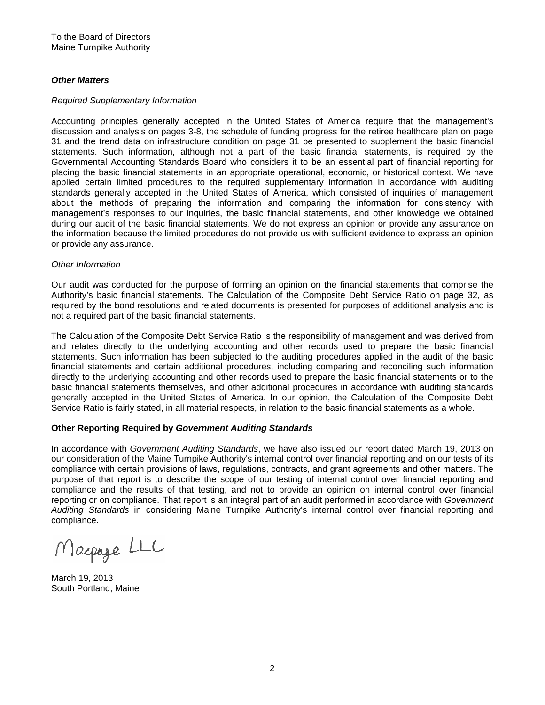# *Other Matters*

#### *Required Supplementary Information*

Accounting principles generally accepted in the United States of America require that the management's discussion and analysis on pages 3-8, the schedule of funding progress for the retiree healthcare plan on page 31 and the trend data on infrastructure condition on page 31 be presented to supplement the basic financial statements. Such information, although not a part of the basic financial statements, is required by the Governmental Accounting Standards Board who considers it to be an essential part of financial reporting for placing the basic financial statements in an appropriate operational, economic, or historical context. We have applied certain limited procedures to the required supplementary information in accordance with auditing standards generally accepted in the United States of America, which consisted of inquiries of management about the methods of preparing the information and comparing the information for consistency with management's responses to our inquiries, the basic financial statements, and other knowledge we obtained during our audit of the basic financial statements. We do not express an opinion or provide any assurance on the information because the limited procedures do not provide us with sufficient evidence to express an opinion or provide any assurance.

#### *Other Information*

Our audit was conducted for the purpose of forming an opinion on the financial statements that comprise the Authority's basic financial statements. The Calculation of the Composite Debt Service Ratio on page 32, as required by the bond resolutions and related documents is presented for purposes of additional analysis and is not a required part of the basic financial statements.

The Calculation of the Composite Debt Service Ratio is the responsibility of management and was derived from and relates directly to the underlying accounting and other records used to prepare the basic financial statements. Such information has been subjected to the auditing procedures applied in the audit of the basic financial statements and certain additional procedures, including comparing and reconciling such information directly to the underlying accounting and other records used to prepare the basic financial statements or to the basic financial statements themselves, and other additional procedures in accordance with auditing standards generally accepted in the United States of America. In our opinion, the Calculation of the Composite Debt Service Ratio is fairly stated, in all material respects, in relation to the basic financial statements as a whole.

#### **Other Reporting Required by** *Government Auditing Standards*

In accordance with *Government Auditing Standards*, we have also issued our report dated March 19, 2013 on our consideration of the Maine Turnpike Authority's internal control over financial reporting and on our tests of its compliance with certain provisions of laws, regulations, contracts, and grant agreements and other matters. The purpose of that report is to describe the scope of our testing of internal control over financial reporting and compliance and the results of that testing, and not to provide an opinion on internal control over financial reporting or on compliance. That report is an integral part of an audit performed in accordance with *Government Auditing Standards* in considering Maine Turnpike Authority's internal control over financial reporting and compliance.

Macpage LLC

March 19, 2013 South Portland, Maine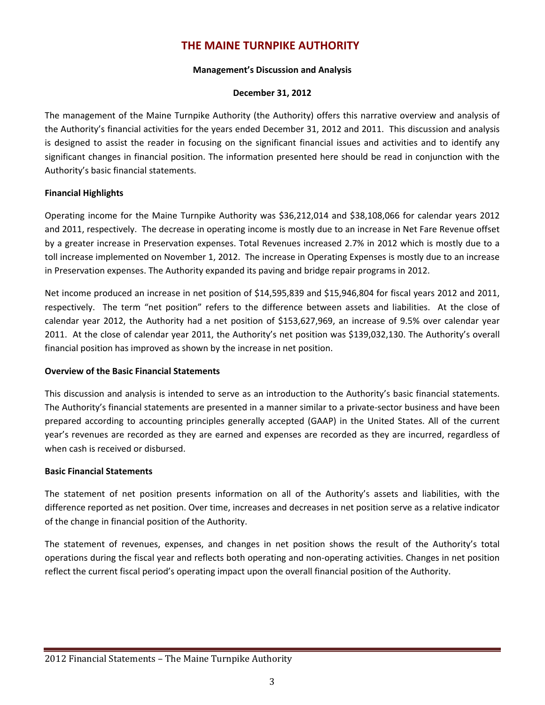# **THE MAINE TURNPIKE AUTHORITY**

# **Management's Discussion and Analysis**

#### **December 31, 2012**

The management of the Maine Turnpike Authority (the Authority) offers this narrative overview and analysis of the Authority's financial activities for the years ended December 31, 2012 and 2011. This discussion and analysis is designed to assist the reader in focusing on the significant financial issues and activities and to identify any significant changes in financial position. The information presented here should be read in conjunction with the Authority's basic financial statements.

# **Financial Highlights**

Operating income for the Maine Turnpike Authority was \$36,212,014 and \$38,108,066 for calendar years 2012 and 2011, respectively. The decrease in operating income is mostly due to an increase in Net Fare Revenue offset by a greater increase in Preservation expenses. Total Revenues increased 2.7% in 2012 which is mostly due to a toll increase implemented on November 1, 2012. The increase in Operating Expenses is mostly due to an increase in Preservation expenses. The Authority expanded its paving and bridge repair programs in 2012.

Net income produced an increase in net position of \$14,595,839 and \$15,946,804 for fiscal years 2012 and 2011, respectively. The term "net position" refers to the difference between assets and liabilities. At the close of calendar year 2012, the Authority had a net position of \$153,627,969, an increase of 9.5% over calendar year 2011. At the close of calendar year 2011, the Authority's net position was \$139,032,130. The Authority's overall financial position has improved as shown by the increase in net position.

#### **Overview of the Basic Financial Statements**

This discussion and analysis is intended to serve as an introduction to the Authority's basic financial statements. The Authority's financial statements are presented in a manner similar to a private‐sector business and have been prepared according to accounting principles generally accepted (GAAP) in the United States. All of the current year's revenues are recorded as they are earned and expenses are recorded as they are incurred, regardless of when cash is received or disbursed.

# **Basic Financial Statements**

The statement of net position presents information on all of the Authority's assets and liabilities, with the difference reported as net position. Over time, increases and decreases in net position serve as a relative indicator of the change in financial position of the Authority.

The statement of revenues, expenses, and changes in net position shows the result of the Authority's total operations during the fiscal year and reflects both operating and non‐operating activities. Changes in net position reflect the current fiscal period's operating impact upon the overall financial position of the Authority.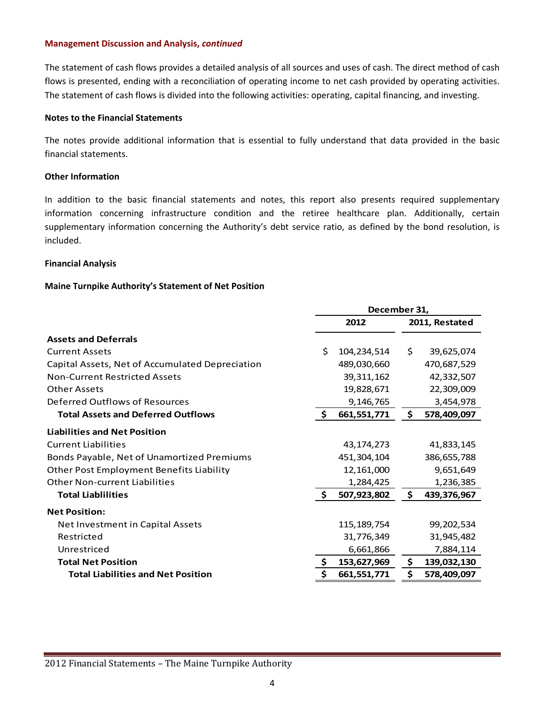The statement of cash flows provides a detailed analysis of all sources and uses of cash. The direct method of cash flows is presented, ending with a reconciliation of operating income to net cash provided by operating activities. The statement of cash flows is divided into the following activities: operating, capital financing, and investing.

# **Notes to the Financial Statements**

The notes provide additional information that is essential to fully understand that data provided in the basic financial statements.

# **Other Information**

In addition to the basic financial statements and notes, this report also presents required supplementary information concerning infrastructure condition and the retiree healthcare plan. Additionally, certain supplementary information concerning the Authority's debt service ratio, as defined by the bond resolution, is included.

#### **Financial Analysis**

# **Maine Turnpike Authority's Statement of Net Position**

|                                                 | December 31,      |               |    |                |
|-------------------------------------------------|-------------------|---------------|----|----------------|
|                                                 | 2012              |               |    | 2011, Restated |
| <b>Assets and Deferrals</b>                     |                   |               |    |                |
| <b>Current Assets</b>                           | \$                | 104,234,514   | \$ | 39,625,074     |
| Capital Assets, Net of Accumulated Depreciation |                   | 489,030,660   |    | 470,687,529    |
| <b>Non-Current Restricted Assets</b>            |                   | 39, 311, 162  |    | 42,332,507     |
| <b>Other Assets</b>                             |                   | 19,828,671    |    | 22,309,009     |
| Deferred Outflows of Resources                  |                   | 9,146,765     |    | 3,454,978      |
| <b>Total Assets and Deferred Outflows</b>       | Ŝ.<br>661,551,771 |               | \$ | 578,409,097    |
| <b>Liabilities and Net Position</b>             |                   |               |    |                |
| <b>Current Liabilities</b>                      |                   | 43,174,273    |    | 41,833,145     |
| Bonds Payable, Net of Unamortized Premiums      |                   | 451,304,104   |    | 386,655,788    |
| Other Post Employment Benefits Liability        |                   | 12,161,000    |    | 9,651,649      |
| <b>Other Non-current Liabilities</b>            |                   | 1,284,425     |    | 1,236,385      |
| <b>Total Liablilities</b>                       | S.                | 507,923,802   | \$ | 439,376,967    |
| <b>Net Position:</b>                            |                   |               |    |                |
| Net Investment in Capital Assets                |                   | 115, 189, 754 |    | 99,202,534     |
| Restricted                                      |                   | 31,776,349    |    | 31,945,482     |
| Unrestriced                                     |                   | 6,661,866     |    | 7,884,114      |
| <b>Total Net Position</b>                       |                   | 153,627,969   | \$ | 139,032,130    |
| <b>Total Liabilities and Net Position</b>       | \$<br>661,551,771 |               |    | 578,409,097    |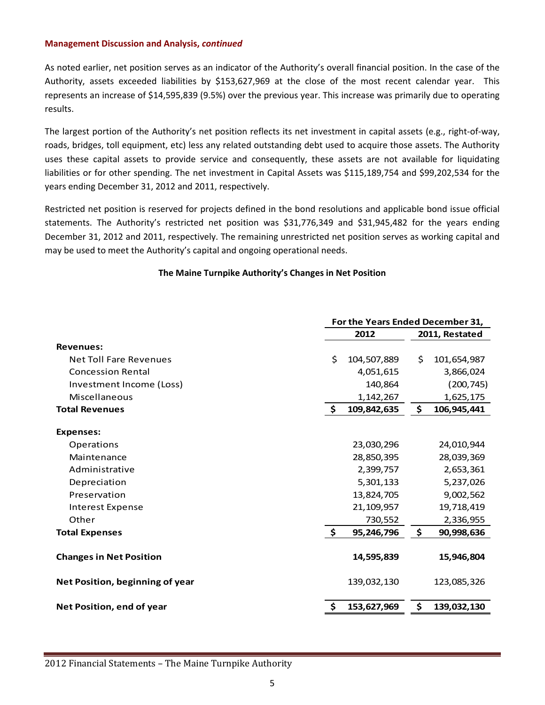As noted earlier, net position serves as an indicator of the Authority's overall financial position. In the case of the Authority, assets exceeded liabilities by \$153,627,969 at the close of the most recent calendar year. This represents an increase of \$14,595,839 (9.5%) over the previous year. This increase was primarily due to operating results.

The largest portion of the Authority's net position reflects its net investment in capital assets (e.g., right-of-way, roads, bridges, toll equipment, etc) less any related outstanding debt used to acquire those assets. The Authority uses these capital assets to provide service and consequently, these assets are not available for liquidating liabilities or for other spending. The net investment in Capital Assets was \$115,189,754 and \$99,202,534 for the years ending December 31, 2012 and 2011, respectively.

Restricted net position is reserved for projects defined in the bond resolutions and applicable bond issue official statements. The Authority's restricted net position was \$31,776,349 and \$31,945,482 for the years ending December 31, 2012 and 2011, respectively. The remaining unrestricted net position serves as working capital and may be used to meet the Authority's capital and ongoing operational needs.

# **The Maine Turnpike Authority's Changes in Net Position**

|                                 | For the Years Ended December 31, |             |                |             |  |
|---------------------------------|----------------------------------|-------------|----------------|-------------|--|
|                                 |                                  | 2012        | 2011, Restated |             |  |
| <b>Revenues:</b>                |                                  |             |                |             |  |
| Net Toll Fare Revenues          | \$                               | 104,507,889 | \$.            | 101,654,987 |  |
| <b>Concession Rental</b>        |                                  | 4,051,615   |                | 3,866,024   |  |
| Investment Income (Loss)        |                                  | 140,864     |                | (200, 745)  |  |
| Miscellaneous                   |                                  | 1, 142, 267 |                | 1,625,175   |  |
| <b>Total Revenues</b>           | \$                               | 109,842,635 | \$             | 106,945,441 |  |
| <b>Expenses:</b>                |                                  |             |                |             |  |
| Operations                      |                                  | 23,030,296  |                | 24,010,944  |  |
| Maintenance                     |                                  | 28,850,395  |                | 28,039,369  |  |
| Administrative                  |                                  | 2,399,757   |                | 2,653,361   |  |
| Depreciation                    |                                  | 5,301,133   |                | 5,237,026   |  |
| Preservation                    |                                  | 13,824,705  |                | 9,002,562   |  |
| <b>Interest Expense</b>         |                                  | 21,109,957  |                | 19,718,419  |  |
| Other                           |                                  | 730,552     |                | 2,336,955   |  |
| <b>Total Expenses</b>           | $\ddot{\bm{\zeta}}$              | 95,246,796  | \$             | 90,998,636  |  |
| <b>Changes in Net Position</b>  |                                  | 14,595,839  |                | 15,946,804  |  |
| Net Position, beginning of year |                                  | 139,032,130 |                | 123,085,326 |  |
| Net Position, end of year       | Ŝ.                               | 153,627,969 | \$             | 139,032,130 |  |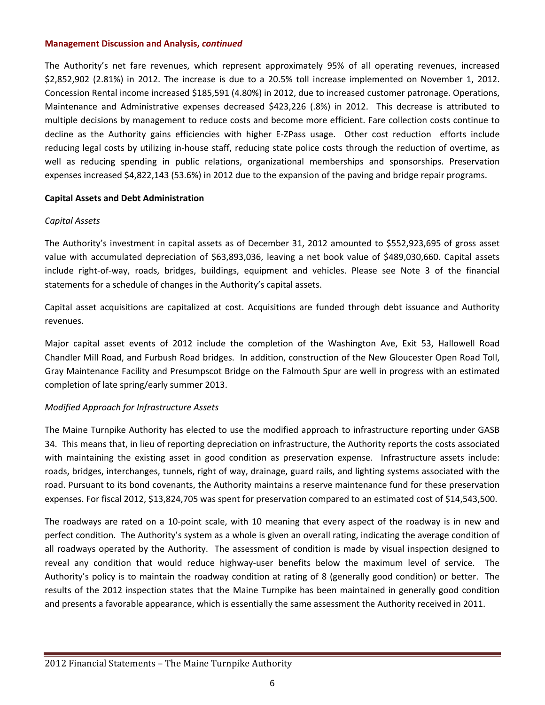The Authority's net fare revenues, which represent approximately 95% of all operating revenues, increased \$2,852,902 (2.81%) in 2012. The increase is due to a 20.5% toll increase implemented on November 1, 2012. Concession Rental income increased \$185,591 (4.80%) in 2012, due to increased customer patronage. Operations, Maintenance and Administrative expenses decreased \$423,226 (.8%) in 2012. This decrease is attributed to multiple decisions by management to reduce costs and become more efficient. Fare collection costs continue to decline as the Authority gains efficiencies with higher E-ZPass usage. Other cost reduction efforts include reducing legal costs by utilizing in‐house staff, reducing state police costs through the reduction of overtime, as well as reducing spending in public relations, organizational memberships and sponsorships. Preservation expenses increased \$4,822,143 (53.6%) in 2012 due to the expansion of the paving and bridge repair programs.

# **Capital Assets and Debt Administration**

# *Capital Assets*

The Authority's investment in capital assets as of December 31, 2012 amounted to \$552,923,695 of gross asset value with accumulated depreciation of \$63,893,036, leaving a net book value of \$489,030,660. Capital assets include right‐of‐way, roads, bridges, buildings, equipment and vehicles. Please see Note 3 of the financial statements for a schedule of changes in the Authority's capital assets.

Capital asset acquisitions are capitalized at cost. Acquisitions are funded through debt issuance and Authority revenues.

Major capital asset events of 2012 include the completion of the Washington Ave, Exit 53, Hallowell Road Chandler Mill Road, and Furbush Road bridges. In addition, construction of the New Gloucester Open Road Toll, Gray Maintenance Facility and Presumpscot Bridge on the Falmouth Spur are well in progress with an estimated completion of late spring/early summer 2013.

# *Modified Approach for Infrastructure Assets*

The Maine Turnpike Authority has elected to use the modified approach to infrastructure reporting under GASB 34. This means that, in lieu of reporting depreciation on infrastructure, the Authority reports the costs associated with maintaining the existing asset in good condition as preservation expense. Infrastructure assets include: roads, bridges, interchanges, tunnels, right of way, drainage, guard rails, and lighting systems associated with the road. Pursuant to its bond covenants, the Authority maintains a reserve maintenance fund for these preservation expenses. For fiscal 2012, \$13,824,705 was spent for preservation compared to an estimated cost of \$14,543,500.

The roadways are rated on a 10‐point scale, with 10 meaning that every aspect of the roadway is in new and perfect condition. The Authority's system as a whole is given an overall rating, indicating the average condition of all roadways operated by the Authority. The assessment of condition is made by visual inspection designed to reveal any condition that would reduce highway-user benefits below the maximum level of service. The Authority's policy is to maintain the roadway condition at rating of 8 (generally good condition) or better. The results of the 2012 inspection states that the Maine Turnpike has been maintained in generally good condition and presents a favorable appearance, which is essentially the same assessment the Authority received in 2011.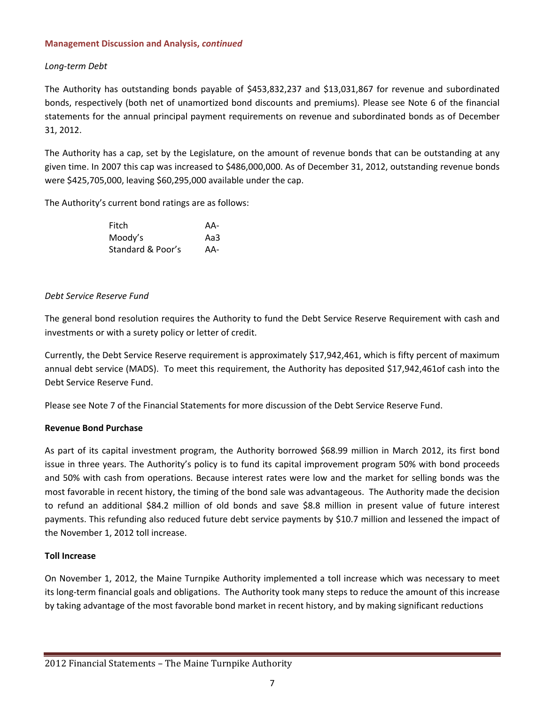# *Long‐term Debt*

The Authority has outstanding bonds payable of \$453,832,237 and \$13,031,867 for revenue and subordinated bonds, respectively (both net of unamortized bond discounts and premiums). Please see Note 6 of the financial statements for the annual principal payment requirements on revenue and subordinated bonds as of December 31, 2012.

The Authority has a cap, set by the Legislature, on the amount of revenue bonds that can be outstanding at any given time. In 2007 this cap was increased to \$486,000,000. As of December 31, 2012, outstanding revenue bonds were \$425,705,000, leaving \$60,295,000 available under the cap.

The Authority's current bond ratings are as follows:

| Fitch             | AA- |
|-------------------|-----|
| Moody's           | Aa3 |
| Standard & Poor's | AA- |

# *Debt Service Reserve Fund*

The general bond resolution requires the Authority to fund the Debt Service Reserve Requirement with cash and investments or with a surety policy or letter of credit.

Currently, the Debt Service Reserve requirement is approximately \$17,942,461, which is fifty percent of maximum annual debt service (MADS). To meet this requirement, the Authority has deposited \$17,942,461of cash into the Debt Service Reserve Fund.

Please see Note 7 of the Financial Statements for more discussion of the Debt Service Reserve Fund.

# **Revenue Bond Purchase**

As part of its capital investment program, the Authority borrowed \$68.99 million in March 2012, its first bond issue in three years. The Authority's policy is to fund its capital improvement program 50% with bond proceeds and 50% with cash from operations. Because interest rates were low and the market for selling bonds was the most favorable in recent history, the timing of the bond sale was advantageous. The Authority made the decision to refund an additional \$84.2 million of old bonds and save \$8.8 million in present value of future interest payments. This refunding also reduced future debt service payments by \$10.7 million and lessened the impact of the November 1, 2012 toll increase.

# **Toll Increase**

On November 1, 2012, the Maine Turnpike Authority implemented a toll increase which was necessary to meet its long-term financial goals and obligations. The Authority took many steps to reduce the amount of this increase by taking advantage of the most favorable bond market in recent history, and by making significant reductions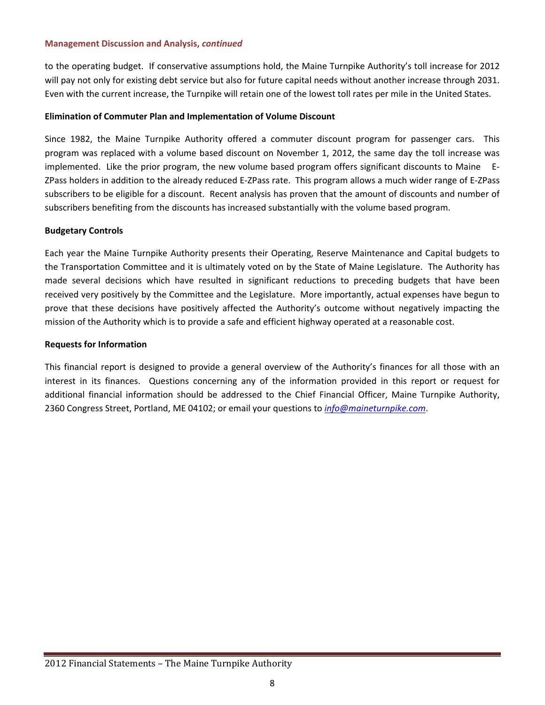to the operating budget. If conservative assumptions hold, the Maine Turnpike Authority's toll increase for 2012 will pay not only for existing debt service but also for future capital needs without another increase through 2031. Even with the current increase, the Turnpike will retain one of the lowest toll rates per mile in the United States.

# **Elimination of Commuter Plan and Implementation of Volume Discount**

Since 1982, the Maine Turnpike Authority offered a commuter discount program for passenger cars. This program was replaced with a volume based discount on November 1, 2012, the same day the toll increase was implemented. Like the prior program, the new volume based program offers significant discounts to Maine E‐ ZPass holders in addition to the already reduced E‐ZPass rate. This program allows a much wider range of E‐ZPass subscribers to be eligible for a discount. Recent analysis has proven that the amount of discounts and number of subscribers benefiting from the discounts has increased substantially with the volume based program.

# **Budgetary Controls**

Each year the Maine Turnpike Authority presents their Operating, Reserve Maintenance and Capital budgets to the Transportation Committee and it is ultimately voted on by the State of Maine Legislature. The Authority has made several decisions which have resulted in significant reductions to preceding budgets that have been received very positively by the Committee and the Legislature. More importantly, actual expenses have begun to prove that these decisions have positively affected the Authority's outcome without negatively impacting the mission of the Authority which is to provide a safe and efficient highway operated at a reasonable cost.

# **Requests for Information**

This financial report is designed to provide a general overview of the Authority's finances for all those with an interest in its finances. Questions concerning any of the information provided in this report or request for additional financial information should be addressed to the Chief Financial Officer, Maine Turnpike Authority, 2360 Congress Street, Portland, ME 04102; or email your questions to *info@maineturnpike.com*.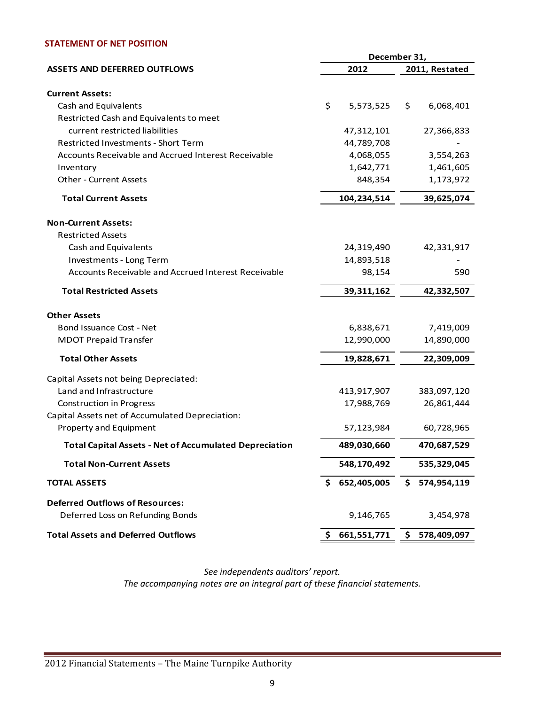# **STATEMENT OF NET POSITION**

|                                                                 | December 31,           |                   |  |  |
|-----------------------------------------------------------------|------------------------|-------------------|--|--|
| <b>ASSETS AND DEFERRED OUTFLOWS</b>                             | 2012<br>2011, Restated |                   |  |  |
| <b>Current Assets:</b>                                          |                        |                   |  |  |
| Cash and Equivalents                                            | \$<br>5,573,525        | \$<br>6,068,401   |  |  |
| Restricted Cash and Equivalents to meet                         |                        |                   |  |  |
| current restricted liabilities                                  | 47,312,101             | 27,366,833        |  |  |
| <b>Restricted Investments - Short Term</b>                      | 44,789,708             |                   |  |  |
| Accounts Receivable and Accrued Interest Receivable             | 4,068,055              | 3,554,263         |  |  |
| Inventory                                                       | 1,642,771              | 1,461,605         |  |  |
| <b>Other - Current Assets</b>                                   | 848,354                | 1,173,972         |  |  |
| <b>Total Current Assets</b>                                     | 104,234,514            | 39,625,074        |  |  |
| <b>Non-Current Assets:</b>                                      |                        |                   |  |  |
| <b>Restricted Assets</b>                                        |                        |                   |  |  |
| Cash and Equivalents                                            | 24,319,490             | 42,331,917        |  |  |
| Investments - Long Term                                         | 14,893,518             |                   |  |  |
| Accounts Receivable and Accrued Interest Receivable             | 98,154                 | 590               |  |  |
| <b>Total Restricted Assets</b>                                  | 39,311,162             |                   |  |  |
| <b>Other Assets</b>                                             |                        |                   |  |  |
| Bond Issuance Cost - Net                                        | 6,838,671              | 7,419,009         |  |  |
| <b>MDOT Prepaid Transfer</b>                                    | 12,990,000             | 14,890,000        |  |  |
| <b>Total Other Assets</b>                                       | 19,828,671             |                   |  |  |
| Capital Assets not being Depreciated:                           |                        |                   |  |  |
| Land and Infrastructure                                         | 413,917,907            | 383,097,120       |  |  |
| <b>Construction in Progress</b>                                 | 17,988,769             | 26,861,444        |  |  |
| Capital Assets net of Accumulated Depreciation:                 |                        |                   |  |  |
| Property and Equipment                                          | 57,123,984             | 60,728,965        |  |  |
| <b>Total Capital Assets - Net of Accumulated Depreciation</b>   | 489,030,660            | 470,687,529       |  |  |
| <b>Total Non-Current Assets</b>                                 | 548,170,492            | 535,329,045       |  |  |
| <b>TOTAL ASSETS</b>                                             | 652,405,005<br>S       | \$<br>574,954,119 |  |  |
| <b>Deferred Outflows of Resources:</b>                          |                        |                   |  |  |
| Deferred Loss on Refunding Bonds                                | 9,146,765              | 3,454,978         |  |  |
| <b>Total Assets and Deferred Outflows</b><br>661,551,771<br>\$. |                        | 578,409,097       |  |  |

*See independents auditors' report.*

*The accompanying notes are an integral part of these financial statements.*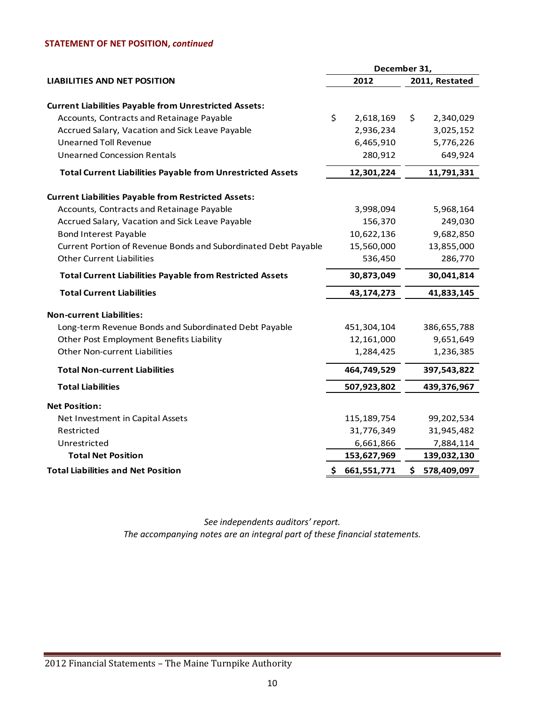# **STATEMENT OF NET POSITION,** *continued*

|                                                                   | December 31,   |               |                   |  |
|-------------------------------------------------------------------|----------------|---------------|-------------------|--|
| <b>LIABILITIES AND NET POSITION</b>                               | 2011, Restated |               |                   |  |
|                                                                   |                |               |                   |  |
| <b>Current Liabilities Payable from Unrestricted Assets:</b>      |                |               |                   |  |
| Accounts, Contracts and Retainage Payable                         | \$             | 2,618,169     | \$<br>2,340,029   |  |
| Accrued Salary, Vacation and Sick Leave Payable                   |                | 2,936,234     | 3,025,152         |  |
| <b>Unearned Toll Revenue</b>                                      |                | 6,465,910     | 5,776,226         |  |
| <b>Unearned Concession Rentals</b>                                |                | 280,912       | 649,924           |  |
| <b>Total Current Liabilities Payable from Unrestricted Assets</b> |                | 12,301,224    | 11,791,331        |  |
| <b>Current Liabilities Payable from Restricted Assets:</b>        |                |               |                   |  |
| Accounts, Contracts and Retainage Payable                         |                | 3,998,094     | 5,968,164         |  |
| Accrued Salary, Vacation and Sick Leave Payable                   |                | 156,370       | 249,030           |  |
| <b>Bond Interest Payable</b>                                      |                | 10,622,136    | 9,682,850         |  |
| Current Portion of Revenue Bonds and Subordinated Debt Payable    |                | 15,560,000    | 13,855,000        |  |
| <b>Other Current Liabilities</b>                                  |                | 536,450       | 286,770           |  |
| <b>Total Current Liabilities Payable from Restricted Assets</b>   |                | 30,873,049    | 30,041,814        |  |
| <b>Total Current Liabilities</b>                                  |                | 43,174,273    | 41,833,145        |  |
| <b>Non-current Liabilities:</b>                                   |                |               |                   |  |
| Long-term Revenue Bonds and Subordinated Debt Payable             |                | 451,304,104   | 386,655,788       |  |
| Other Post Employment Benefits Liability                          |                | 12,161,000    | 9,651,649         |  |
| <b>Other Non-current Liabilities</b>                              |                | 1,284,425     | 1,236,385         |  |
| <b>Total Non-current Liabilities</b>                              |                | 464,749,529   | 397,543,822       |  |
| <b>Total Liabilities</b>                                          |                | 507,923,802   | 439,376,967       |  |
| <b>Net Position:</b>                                              |                |               |                   |  |
| Net Investment in Capital Assets                                  |                | 115, 189, 754 | 99,202,534        |  |
| Restricted                                                        |                | 31,776,349    | 31,945,482        |  |
| Unrestricted                                                      |                | 6,661,866     | 7,884,114         |  |
| <b>Total Net Position</b>                                         |                | 153,627,969   | 139,032,130       |  |
| <b>Total Liabilities and Net Position</b>                         | \$             | 661,551,771   | 578,409,097<br>\$ |  |

*See independents auditors' report. The accompanying notes are an integral part of these financial statements.*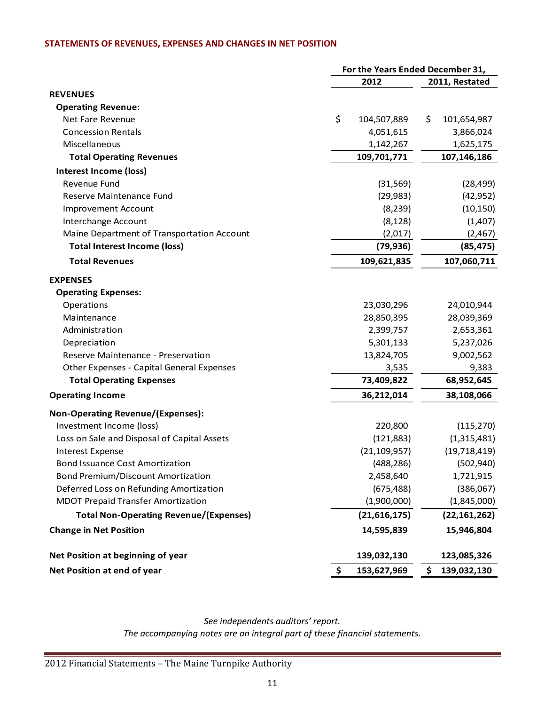# **STATEMENTS OF REVENUES, EXPENSES AND CHANGES IN NET POSITION**

|                                               | For the Years Ended December 31, |                   |  |  |
|-----------------------------------------------|----------------------------------|-------------------|--|--|
|                                               | 2012                             | 2011, Restated    |  |  |
| <b>REVENUES</b>                               |                                  |                   |  |  |
| <b>Operating Revenue:</b>                     |                                  |                   |  |  |
| Net Fare Revenue                              | \$<br>104,507,889                | \$<br>101,654,987 |  |  |
| <b>Concession Rentals</b>                     | 4,051,615                        | 3,866,024         |  |  |
| Miscellaneous                                 | 1,142,267                        | 1,625,175         |  |  |
| <b>Total Operating Revenues</b>               | 109,701,771                      | 107,146,186       |  |  |
| Interest Income (loss)                        |                                  |                   |  |  |
| Revenue Fund                                  | (31, 569)                        | (28, 499)         |  |  |
| Reserve Maintenance Fund                      | (29, 983)                        | (42, 952)         |  |  |
| <b>Improvement Account</b>                    | (8, 239)                         | (10, 150)         |  |  |
| Interchange Account                           | (8, 128)                         | (1,407)           |  |  |
| Maine Department of Transportation Account    | (2,017)                          | (2,467)           |  |  |
| <b>Total Interest Income (loss)</b>           | (79, 936)                        | (85, 475)         |  |  |
| <b>Total Revenues</b>                         | 109,621,835                      | 107,060,711       |  |  |
| <b>EXPENSES</b>                               |                                  |                   |  |  |
| <b>Operating Expenses:</b>                    |                                  |                   |  |  |
| Operations                                    | 23,030,296                       | 24,010,944        |  |  |
| Maintenance                                   | 28,850,395                       | 28,039,369        |  |  |
| Administration                                | 2,399,757                        | 2,653,361         |  |  |
| Depreciation                                  | 5,301,133                        | 5,237,026         |  |  |
| Reserve Maintenance - Preservation            | 13,824,705                       | 9,002,562         |  |  |
| Other Expenses - Capital General Expenses     | 3,535                            | 9,383             |  |  |
| <b>Total Operating Expenses</b>               | 73,409,822                       | 68,952,645        |  |  |
| <b>Operating Income</b>                       | 36,212,014                       | 38,108,066        |  |  |
| <b>Non-Operating Revenue/(Expenses):</b>      |                                  |                   |  |  |
| Investment Income (loss)                      | 220,800                          | (115, 270)        |  |  |
| Loss on Sale and Disposal of Capital Assets   | (121, 883)                       | (1,315,481)       |  |  |
| <b>Interest Expense</b>                       | (21, 109, 957)                   | (19,718,419)      |  |  |
| <b>Bond Issuance Cost Amortization</b>        | (488, 286)                       | (502, 940)        |  |  |
| <b>Bond Premium/Discount Amortization</b>     | 2,458,640                        | 1,721,915         |  |  |
| Deferred Loss on Refunding Amortization       | (675, 488)                       | (386,067)         |  |  |
| <b>MDOT Prepaid Transfer Amortization</b>     | (1,900,000)                      | (1,845,000)       |  |  |
| <b>Total Non-Operating Revenue/(Expenses)</b> | (21, 616, 175)                   | (22, 161, 262)    |  |  |
| <b>Change in Net Position</b>                 | 14,595,839                       | 15,946,804        |  |  |
| Net Position at beginning of year             | 139,032,130                      | 123,085,326       |  |  |
| Net Position at end of year                   | \$<br>153,627,969                | \$<br>139,032,130 |  |  |

*See independents auditors' report. The accompanying notes are an integral part of these financial statements.*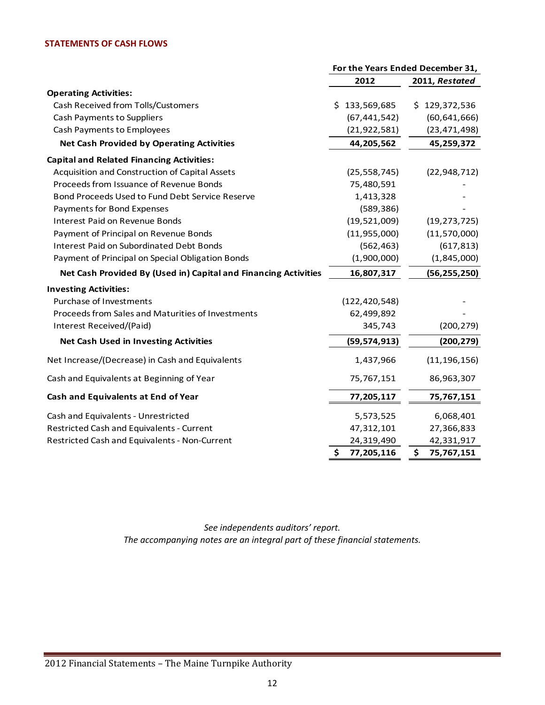# **STATEMENTS OF CASH FLOWS**

|                                                                 | For the Years Ended December 31, |                  |  |
|-----------------------------------------------------------------|----------------------------------|------------------|--|
|                                                                 | 2012                             | 2011, Restated   |  |
| <b>Operating Activities:</b>                                    |                                  |                  |  |
| Cash Received from Tolls/Customers                              | \$133,569,685                    | \$129,372,536    |  |
| Cash Payments to Suppliers                                      | (67, 441, 542)                   | (60, 641, 666)   |  |
| Cash Payments to Employees                                      | (21, 922, 581)                   | (23, 471, 498)   |  |
| <b>Net Cash Provided by Operating Activities</b>                | 44,205,562                       | 45,259,372       |  |
| <b>Capital and Related Financing Activities:</b>                |                                  |                  |  |
| Acquisition and Construction of Capital Assets                  | (25, 558, 745)                   | (22, 948, 712)   |  |
| Proceeds from Issuance of Revenue Bonds                         | 75,480,591                       |                  |  |
| Bond Proceeds Used to Fund Debt Service Reserve                 | 1,413,328                        |                  |  |
| Payments for Bond Expenses                                      | (589, 386)                       |                  |  |
| <b>Interest Paid on Revenue Bonds</b>                           | (19,521,009)                     | (19, 273, 725)   |  |
| Payment of Principal on Revenue Bonds                           | (11, 955, 000)                   | (11, 570, 000)   |  |
| <b>Interest Paid on Subordinated Debt Bonds</b>                 | (562, 463)                       | (617, 813)       |  |
| Payment of Principal on Special Obligation Bonds                | (1,900,000)                      | (1,845,000)      |  |
| Net Cash Provided By (Used in) Capital and Financing Activities | 16,807,317                       | (56, 255, 250)   |  |
| <b>Investing Activities:</b>                                    |                                  |                  |  |
| Purchase of Investments                                         | (122, 420, 548)                  |                  |  |
| Proceeds from Sales and Maturities of Investments               | 62,499,892                       |                  |  |
| Interest Received/(Paid)                                        | 345,743                          | (200, 279)       |  |
| <b>Net Cash Used in Investing Activities</b>                    | (59, 574, 913)                   | (200, 279)       |  |
| Net Increase/(Decrease) in Cash and Equivalents                 | 1,437,966                        | (11, 196, 156)   |  |
| Cash and Equivalents at Beginning of Year                       | 75,767,151                       | 86,963,307       |  |
| Cash and Equivalents at End of Year                             | 77,205,117                       | 75,767,151       |  |
| Cash and Equivalents - Unrestricted                             | 5,573,525                        | 6,068,401        |  |
| Restricted Cash and Equivalents - Current                       | 47,312,101                       | 27,366,833       |  |
| Restricted Cash and Equivalents - Non-Current                   | 24,319,490                       | 42,331,917       |  |
|                                                                 | \$<br>77,205,116                 | \$<br>75,767,151 |  |

 *See independents auditors' report. The accompanying notes are an integral part of these financial statements.*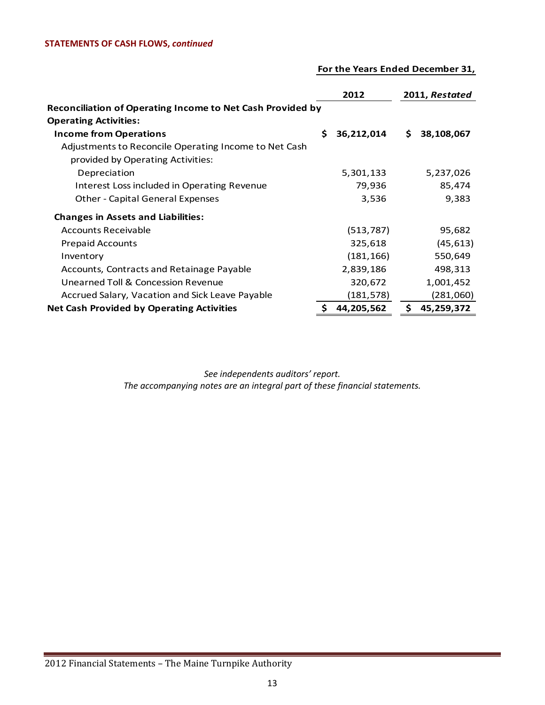# **For the Years Ended December 31,**

|                                                            |    | 2012       |    | 2011, Restated |
|------------------------------------------------------------|----|------------|----|----------------|
| Reconciliation of Operating Income to Net Cash Provided by |    |            |    |                |
| <b>Operating Activities:</b>                               |    |            |    |                |
| <b>Income from Operations</b>                              | Š. | 36,212,014 | S  | 38,108,067     |
| Adjustments to Reconcile Operating Income to Net Cash      |    |            |    |                |
| provided by Operating Activities:                          |    |            |    |                |
| Depreciation                                               |    | 5,301,133  |    | 5,237,026      |
| Interest Loss included in Operating Revenue                |    | 79,936     |    | 85,474         |
| <b>Other - Capital General Expenses</b>                    |    | 3,536      |    | 9,383          |
| <b>Changes in Assets and Liabilities:</b>                  |    |            |    |                |
| <b>Accounts Receivable</b>                                 |    | (513, 787) |    | 95,682         |
| <b>Prepaid Accounts</b>                                    |    | 325,618    |    | (45, 613)      |
| Inventory                                                  |    | (181, 166) |    | 550,649        |
| Accounts, Contracts and Retainage Payable                  |    | 2,839,186  |    | 498,313        |
| Unearned Toll & Concession Revenue                         |    | 320,672    |    | 1,001,452      |
| Accrued Salary, Vacation and Sick Leave Payable            |    | (181, 578) |    | (281,060)      |
| <b>Net Cash Provided by Operating Activities</b>           | S  | 44,205,562 | \$ | 45,259,372     |

*See independents auditors' report. The accompanying notes are an integral part of these financial statements.*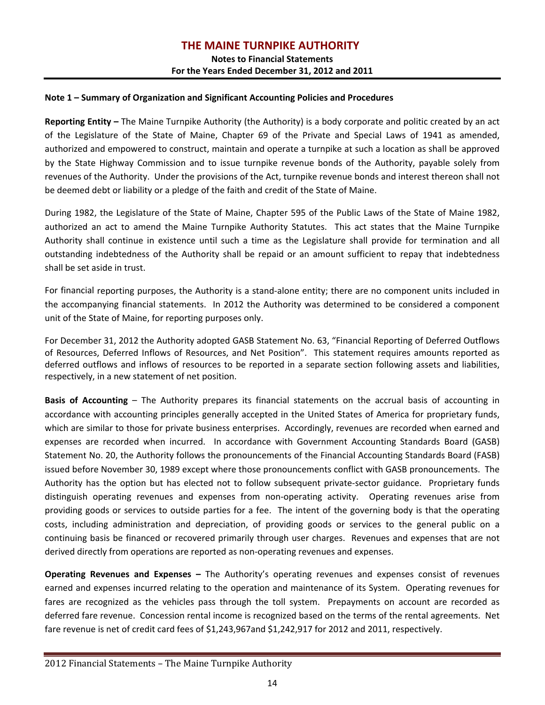# **Notes to Financial Statements For the Years Ended December 31, 2012 and 2011**

# **Note 1 – Summary of Organization and Significant Accounting Policies and Procedures**

**Reporting Entity –** The Maine Turnpike Authority (the Authority) is a body corporate and politic created by an act of the Legislature of the State of Maine, Chapter 69 of the Private and Special Laws of 1941 as amended, authorized and empowered to construct, maintain and operate a turnpike at such a location as shall be approved by the State Highway Commission and to issue turnpike revenue bonds of the Authority, payable solely from revenues of the Authority. Under the provisions of the Act, turnpike revenue bonds and interest thereon shall not be deemed debt or liability or a pledge of the faith and credit of the State of Maine.

During 1982, the Legislature of the State of Maine, Chapter 595 of the Public Laws of the State of Maine 1982, authorized an act to amend the Maine Turnpike Authority Statutes. This act states that the Maine Turnpike Authority shall continue in existence until such a time as the Legislature shall provide for termination and all outstanding indebtedness of the Authority shall be repaid or an amount sufficient to repay that indebtedness shall be set aside in trust.

For financial reporting purposes, the Authority is a stand-alone entity; there are no component units included in the accompanying financial statements. In 2012 the Authority was determined to be considered a component unit of the State of Maine, for reporting purposes only.

For December 31, 2012 the Authority adopted GASB Statement No. 63, "Financial Reporting of Deferred Outflows of Resources, Deferred Inflows of Resources, and Net Position". This statement requires amounts reported as deferred outflows and inflows of resources to be reported in a separate section following assets and liabilities, respectively, in a new statement of net position.

**Basis of Accounting** – The Authority prepares its financial statements on the accrual basis of accounting in accordance with accounting principles generally accepted in the United States of America for proprietary funds, which are similar to those for private business enterprises. Accordingly, revenues are recorded when earned and expenses are recorded when incurred. In accordance with Government Accounting Standards Board (GASB) Statement No. 20, the Authority follows the pronouncements of the Financial Accounting Standards Board (FASB) issued before November 30, 1989 except where those pronouncements conflict with GASB pronouncements. The Authority has the option but has elected not to follow subsequent private-sector guidance. Proprietary funds distinguish operating revenues and expenses from non-operating activity. Operating revenues arise from providing goods or services to outside parties for a fee. The intent of the governing body is that the operating costs, including administration and depreciation, of providing goods or services to the general public on a continuing basis be financed or recovered primarily through user charges. Revenues and expenses that are not derived directly from operations are reported as non‐operating revenues and expenses.

**Operating Revenues and Expenses –** The Authority's operating revenues and expenses consist of revenues earned and expenses incurred relating to the operation and maintenance of its System. Operating revenues for fares are recognized as the vehicles pass through the toll system. Prepayments on account are recorded as deferred fare revenue. Concession rental income is recognized based on the terms of the rental agreements. Net fare revenue is net of credit card fees of \$1,243,967and \$1,242,917 for 2012 and 2011, respectively.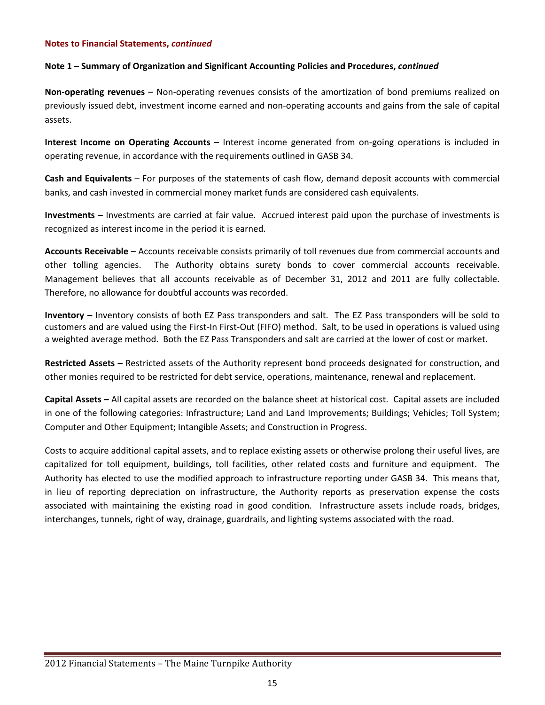# **Note 1 – Summary of Organization and Significant Accounting Policies and Procedures,** *continued*

**Non‐operating revenues** – Non‐operating revenues consists of the amortization of bond premiums realized on previously issued debt, investment income earned and non‐operating accounts and gains from the sale of capital assets.

**Interest Income on Operating Accounts** – Interest income generated from on‐going operations is included in operating revenue, in accordance with the requirements outlined in GASB 34.

**Cash and Equivalents** – For purposes of the statements of cash flow, demand deposit accounts with commercial banks, and cash invested in commercial money market funds are considered cash equivalents.

**Investments** – Investments are carried at fair value. Accrued interest paid upon the purchase of investments is recognized as interest income in the period it is earned.

**Accounts Receivable** – Accounts receivable consists primarily of toll revenues due from commercial accounts and other tolling agencies. The Authority obtains surety bonds to cover commercial accounts receivable. Management believes that all accounts receivable as of December 31, 2012 and 2011 are fully collectable. Therefore, no allowance for doubtful accounts was recorded.

**Inventory –** Inventory consists of both EZ Pass transponders and salt. The EZ Pass transponders will be sold to customers and are valued using the First-In First-Out (FIFO) method. Salt, to be used in operations is valued using a weighted average method. Both the EZ Pass Transponders and salt are carried at the lower of cost or market.

**Restricted Assets –** Restricted assets of the Authority represent bond proceeds designated for construction, and other monies required to be restricted for debt service, operations, maintenance, renewal and replacement.

**Capital Assets –** All capital assets are recorded on the balance sheet at historical cost. Capital assets are included in one of the following categories: Infrastructure; Land and Land Improvements; Buildings; Vehicles; Toll System; Computer and Other Equipment; Intangible Assets; and Construction in Progress.

Costs to acquire additional capital assets, and to replace existing assets or otherwise prolong their useful lives, are capitalized for toll equipment, buildings, toll facilities, other related costs and furniture and equipment. The Authority has elected to use the modified approach to infrastructure reporting under GASB 34. This means that, in lieu of reporting depreciation on infrastructure, the Authority reports as preservation expense the costs associated with maintaining the existing road in good condition. Infrastructure assets include roads, bridges, interchanges, tunnels, right of way, drainage, guardrails, and lighting systems associated with the road.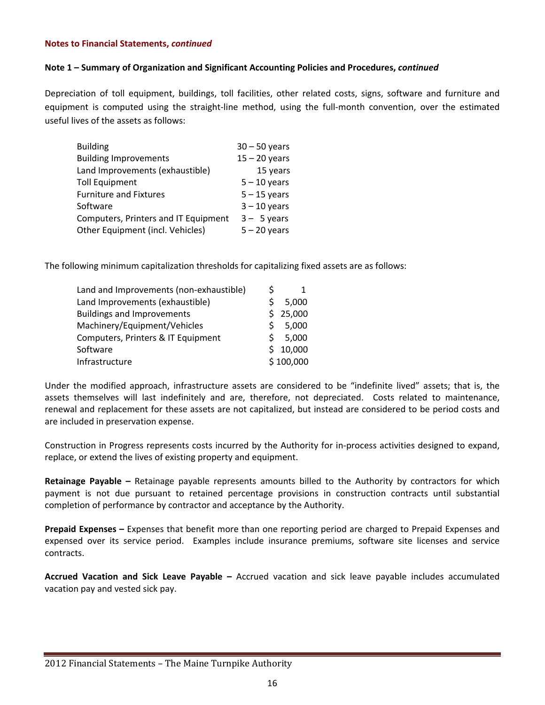# **Note 1 – Summary of Organization and Significant Accounting Policies and Procedures,** *continued*

Depreciation of toll equipment, buildings, toll facilities, other related costs, signs, software and furniture and equipment is computed using the straight-line method, using the full-month convention, over the estimated useful lives of the assets as follows:

| <b>Building</b>                      | $30 - 50$ years |
|--------------------------------------|-----------------|
| <b>Building Improvements</b>         | $15 - 20$ years |
| Land Improvements (exhaustible)      | 15 years        |
| <b>Toll Equipment</b>                | $5 - 10$ years  |
| <b>Furniture and Fixtures</b>        | $5 - 15$ years  |
| Software                             | $3 - 10$ years  |
| Computers, Printers and IT Equipment | $3 - 5$ years   |
| Other Equipment (incl. Vehicles)     | $5 - 20$ years  |

The following minimum capitalization thresholds for capitalizing fixed assets are as follows:

| Land and Improvements (non-exhaustible) |    |           |
|-----------------------------------------|----|-----------|
| Land Improvements (exhaustible)         | S. | 5,000     |
| <b>Buildings and Improvements</b>       |    | \$25,000  |
| Machinery/Equipment/Vehicles            | ς  | 5,000     |
| Computers, Printers & IT Equipment      | ς  | 5,000     |
| Software                                | Ŝ. | 10,000    |
| Infrastructure                          |    | \$100,000 |

Under the modified approach, infrastructure assets are considered to be "indefinite lived" assets; that is, the assets themselves will last indefinitely and are, therefore, not depreciated. Costs related to maintenance, renewal and replacement for these assets are not capitalized, but instead are considered to be period costs and are included in preservation expense.

Construction in Progress represents costs incurred by the Authority for in‐process activities designed to expand, replace, or extend the lives of existing property and equipment.

**Retainage Payable –** Retainage payable represents amounts billed to the Authority by contractors for which payment is not due pursuant to retained percentage provisions in construction contracts until substantial completion of performance by contractor and acceptance by the Authority.

**Prepaid Expenses –** Expenses that benefit more than one reporting period are charged to Prepaid Expenses and expensed over its service period. Examples include insurance premiums, software site licenses and service contracts.

**Accrued Vacation and Sick Leave Payable –** Accrued vacation and sick leave payable includes accumulated vacation pay and vested sick pay.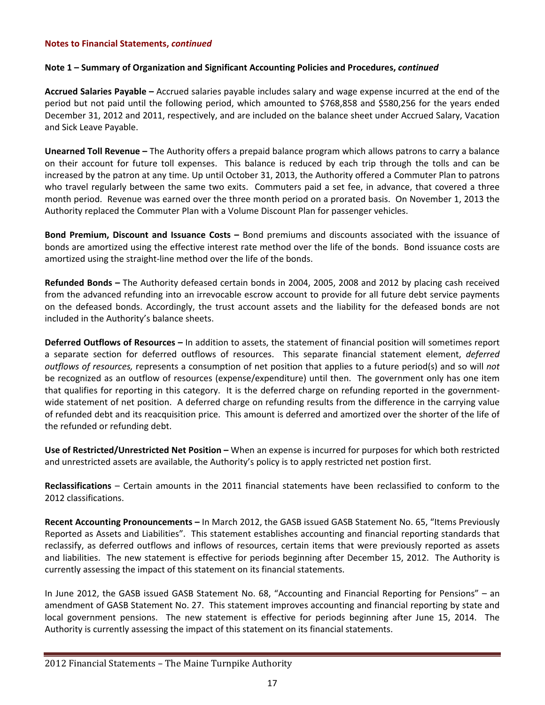# **Note 1 – Summary of Organization and Significant Accounting Policies and Procedures,** *continued*

**Accrued Salaries Payable –** Accrued salaries payable includes salary and wage expense incurred at the end of the period but not paid until the following period, which amounted to \$768,858 and \$580,256 for the years ended December 31, 2012 and 2011, respectively, and are included on the balance sheet under Accrued Salary, Vacation and Sick Leave Payable.

**Unearned Toll Revenue –** The Authority offers a prepaid balance program which allows patrons to carry a balance on their account for future toll expenses. This balance is reduced by each trip through the tolls and can be increased by the patron at any time. Up until October 31, 2013, the Authority offered a Commuter Plan to patrons who travel regularly between the same two exits. Commuters paid a set fee, in advance, that covered a three month period. Revenue was earned over the three month period on a prorated basis. On November 1, 2013 the Authority replaced the Commuter Plan with a Volume Discount Plan for passenger vehicles.

**Bond Premium, Discount and Issuance Costs –** Bond premiums and discounts associated with the issuance of bonds are amortized using the effective interest rate method over the life of the bonds. Bond issuance costs are amortized using the straight‐line method over the life of the bonds.

**Refunded Bonds –** The Authority defeased certain bonds in 2004, 2005, 2008 and 2012 by placing cash received from the advanced refunding into an irrevocable escrow account to provide for all future debt service payments on the defeased bonds. Accordingly, the trust account assets and the liability for the defeased bonds are not included in the Authority's balance sheets.

**Deferred Outflows of Resources –** In addition to assets, the statement of financial position will sometimes report a separate section for deferred outflows of resources. This separate financial statement element, *deferred outflows of resources,* represents a consumption of net position that applies to a future period(s) and so will *not* be recognized as an outflow of resources (expense/expenditure) until then. The government only has one item that qualifies for reporting in this category. It is the deferred charge on refunding reported in the government‐ wide statement of net position. A deferred charge on refunding results from the difference in the carrying value of refunded debt and its reacquisition price. This amount is deferred and amortized over the shorter of the life of the refunded or refunding debt.

**Use of Restricted/Unrestricted Net Position –** When an expense is incurred for purposes for which both restricted and unrestricted assets are available, the Authority's policy is to apply restricted net postion first.

**Reclassifications** – Certain amounts in the 2011 financial statements have been reclassified to conform to the 2012 classifications.

**Recent Accounting Pronouncements –** In March 2012, the GASB issued GASB Statement No. 65, "Items Previously Reported as Assets and Liabilities". This statement establishes accounting and financial reporting standards that reclassify, as deferred outflows and inflows of resources, certain items that were previously reported as assets and liabilities. The new statement is effective for periods beginning after December 15, 2012. The Authority is currently assessing the impact of this statement on its financial statements.

In June 2012, the GASB issued GASB Statement No. 68, "Accounting and Financial Reporting for Pensions" – an amendment of GASB Statement No. 27. This statement improves accounting and financial reporting by state and local government pensions. The new statement is effective for periods beginning after June 15, 2014. The Authority is currently assessing the impact of this statement on its financial statements.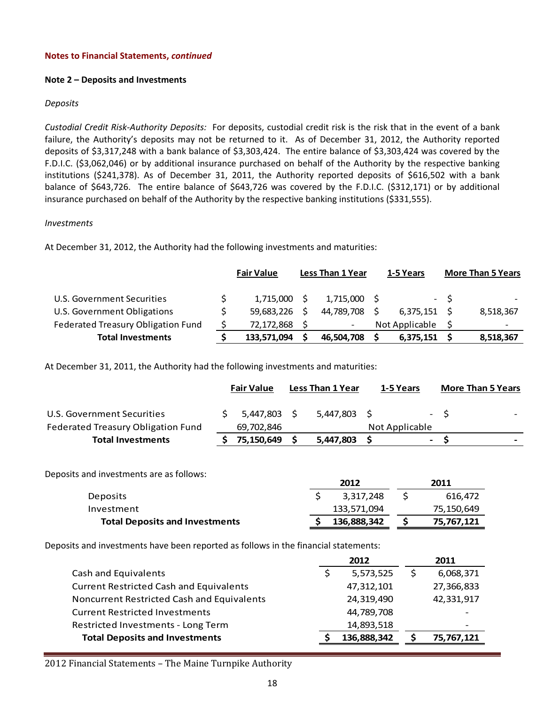# **Note 2 – Deposits and Investments**

# *Deposits*

*Custodial Credit Risk‐Authority Deposits:* For deposits, custodial credit risk is the risk that in the event of a bank failure, the Authority's deposits may not be returned to it. As of December 31, 2012, the Authority reported deposits of \$3,317,248 with a bank balance of \$3,303,424. The entire balance of \$3,303,424 was covered by the F.D.I.C. (\$3,062,046) or by additional insurance purchased on behalf of the Authority by the respective banking institutions (\$241,378). As of December 31, 2011, the Authority reported deposits of \$616,502 with a bank balance of \$643,726. The entire balance of \$643,726 was covered by the F.D.I.C. (\$312,171) or by additional insurance purchased on behalf of the Authority by the respective banking institutions (\$331,555).

#### *Investments*

At December 31, 2012, the Authority had the following investments and maturities:

|                                    | <b>Fair Value</b> | Less Than 1 Year | 1-5 Years      |      | <b>More Than 5 Years</b> |
|------------------------------------|-------------------|------------------|----------------|------|--------------------------|
| U.S. Government Securities         | 1.715.000         | 1,715,000        |                | $-S$ |                          |
| U.S. Government Obligations        | 59,683,226        | 44,789,708       | $6.375.151$ S  |      | 8,518,367                |
| Federated Treasury Obligation Fund | 72,172,868        | $\sim$           | Not Applicable |      | -                        |
| <b>Total Investments</b>           | 133,571,094       | 46,504,708       | 6,375,151      |      | 8,518,367                |

At December 31, 2011, the Authority had the following investments and maturities:

|                                    | <b>Fair Value</b> |              | <b>Less Than 1 Year</b> |             | 1-5 Years      |                | <b>More Than 5 Years</b> |
|------------------------------------|-------------------|--------------|-------------------------|-------------|----------------|----------------|--------------------------|
| U.S. Government Securities         |                   | 5,447,803 \$ |                         | 5.447.803 S |                |                | $- S$                    |
| Federated Treasury Obligation Fund |                   | 69,702,846   |                         |             | Not Applicable |                |                          |
| <b>Total Investments</b>           |                   | 75,150,649   |                         | 5,447,803   |                | $\blacksquare$ | $\,$                     |

Deposits and investments are as follows:

|                                       | 2012        | 2011       |
|---------------------------------------|-------------|------------|
| <b>Deposits</b>                       | 3.317.248   | 616.472    |
| Investment                            | 133,571,094 | 75,150,649 |
| <b>Total Deposits and Investments</b> | 136,888,342 | 75,767,121 |

Deposits and investments have been reported as follows in the financial statements:

|                                                | 2012 |             |  | 2011                     |
|------------------------------------------------|------|-------------|--|--------------------------|
| Cash and Equivalents                           |      | 5,573,525   |  | 6,068,371                |
| <b>Current Restricted Cash and Equivalents</b> |      | 47,312,101  |  | 27,366,833               |
| Noncurrent Restricted Cash and Equivalents     |      | 24,319,490  |  | 42,331,917               |
| <b>Current Restricted Investments</b>          |      | 44,789,708  |  |                          |
| Restricted Investments - Long Term             |      | 14,893,518  |  | $\overline{\phantom{0}}$ |
| <b>Total Deposits and Investments</b>          |      | 136,888,342 |  | 75,767,121               |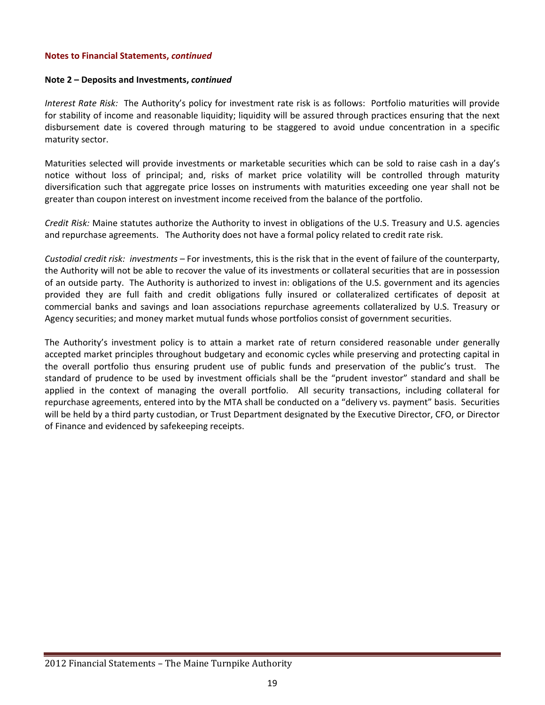# **Note 2 – Deposits and Investments,** *continued*

*Interest Rate Risk:* The Authority's policy for investment rate risk is as follows: Portfolio maturities will provide for stability of income and reasonable liquidity; liquidity will be assured through practices ensuring that the next disbursement date is covered through maturing to be staggered to avoid undue concentration in a specific maturity sector.

Maturities selected will provide investments or marketable securities which can be sold to raise cash in a day's notice without loss of principal; and, risks of market price volatility will be controlled through maturity diversification such that aggregate price losses on instruments with maturities exceeding one year shall not be greater than coupon interest on investment income received from the balance of the portfolio.

*Credit Risk:* Maine statutes authorize the Authority to invest in obligations of the U.S. Treasury and U.S. agencies and repurchase agreements. The Authority does not have a formal policy related to credit rate risk.

*Custodial credit risk: investments –* For investments, this is the risk that in the event of failure of the counterparty, the Authority will not be able to recover the value of its investments or collateral securities that are in possession of an outside party. The Authority is authorized to invest in: obligations of the U.S. government and its agencies provided they are full faith and credit obligations fully insured or collateralized certificates of deposit at commercial banks and savings and loan associations repurchase agreements collateralized by U.S. Treasury or Agency securities; and money market mutual funds whose portfolios consist of government securities.

The Authority's investment policy is to attain a market rate of return considered reasonable under generally accepted market principles throughout budgetary and economic cycles while preserving and protecting capital in the overall portfolio thus ensuring prudent use of public funds and preservation of the public's trust. The standard of prudence to be used by investment officials shall be the "prudent investor" standard and shall be applied in the context of managing the overall portfolio. All security transactions, including collateral for repurchase agreements, entered into by the MTA shall be conducted on a "delivery vs. payment" basis. Securities will be held by a third party custodian, or Trust Department designated by the Executive Director, CFO, or Director of Finance and evidenced by safekeeping receipts.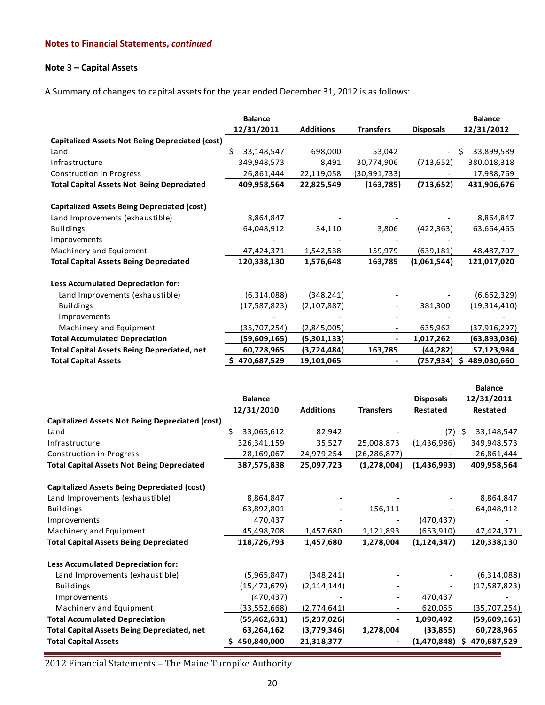# **Note 3 – Capital Assets**

A Summary of changes to capital assets for the year ended December 31, 2012 is as follows:

|                                                    | <b>Balance</b>   |                  |                  |                  | <b>Balance</b>   |
|----------------------------------------------------|------------------|------------------|------------------|------------------|------------------|
|                                                    | 12/31/2011       | <b>Additions</b> | <b>Transfers</b> | <b>Disposals</b> | 12/31/2012       |
| Capitalized Assets Not Being Depreciated (cost)    |                  |                  |                  |                  |                  |
| Land                                               | Ś.<br>33,148,547 | 698,000          | 53,042           |                  | 33,899,589<br>S  |
| Infrastructure                                     | 349,948,573      | 8,491            | 30,774,906       | (713, 652)       | 380,018,318      |
| Construction in Progress                           | 26,861,444       | 22,119,058       | (30,991,733)     |                  | 17,988,769       |
| <b>Total Capital Assets Not Being Depreciated</b>  | 409,958,564      | 22,825,549       | (163, 785)       | (713, 652)       | 431,906,676      |
| <b>Capitalized Assets Being Depreciated (cost)</b> |                  |                  |                  |                  |                  |
| Land Improvements (exhaustible)                    | 8,864,847        |                  |                  |                  | 8,864,847        |
| <b>Buildings</b>                                   | 64,048,912       | 34,110           | 3,806            | (422, 363)       | 63,664,465       |
| Improvements                                       |                  |                  |                  |                  |                  |
| Machinery and Equipment                            | 47,424,371       | 1,542,538        | 159,979          | (639,181)        | 48,487,707       |
| <b>Total Capital Assets Being Depreciated</b>      | 120,338,130      | 1,576,648        | 163,785          | (1,061,544)      | 121,017,020      |
| <b>Less Accumulated Depreciation for:</b>          |                  |                  |                  |                  |                  |
| Land Improvements (exhaustible)                    | (6,314,088)      | (348, 241)       |                  |                  | (6,662,329)      |
| <b>Buildings</b>                                   | (17,587,823)     | (2, 107, 887)    |                  | 381,300          | (19,314,410)     |
| Improvements                                       |                  |                  |                  |                  |                  |
| Machinery and Equipment                            | (35,707,254)     | (2,845,005)      |                  | 635,962          | (37, 916, 297)   |
| <b>Total Accumulated Depreciation</b>              | (59,609,165)     | (5,301,133)      |                  | 1,017,262        | (63,893,036)     |
| <b>Total Capital Assets Being Depreciated, net</b> | 60,728,965       | (3,724,484)      | 163,785          | (44,282)         | 57,123,984       |
| <b>Total Capital Assets</b>                        | \$470,687,529    | 19,101,065       |                  | (757,934)        | 489,030,660<br>S |

|                                                        |                  |                  |                  |                  | <b>Balance</b>     |
|--------------------------------------------------------|------------------|------------------|------------------|------------------|--------------------|
|                                                        | <b>Balance</b>   |                  |                  | <b>Disposals</b> | 12/31/2011         |
|                                                        | 12/31/2010       | <b>Additions</b> | <b>Transfers</b> | Restated         | Restated           |
| <b>Capitalized Assets Not Being Depreciated (cost)</b> |                  |                  |                  |                  |                    |
| Land                                                   | 33,065,612<br>Ś. | 82,942           |                  | (7)              | 33,148,547<br>- \$ |
| Infrastructure                                         | 326,341,159      | 35,527           | 25,008,873       | (1,436,986)      | 349,948,573        |
| Construction in Progress                               | 28,169,067       | 24,979,254       | (26, 286, 877)   |                  | 26,861,444         |
| <b>Total Capital Assets Not Being Depreciated</b>      | 387,575,838      | 25,097,723       | (1,278,004)      | (1,436,993)      | 409,958,564        |
| <b>Capitalized Assets Being Depreciated (cost)</b>     |                  |                  |                  |                  |                    |
| Land Improvements (exhaustible)                        | 8,864,847        |                  |                  |                  | 8,864,847          |
| <b>Buildings</b>                                       | 63,892,801       |                  | 156,111          |                  | 64,048,912         |
| Improvements                                           | 470,437          |                  |                  | (470, 437)       |                    |
| Machinery and Equipment                                | 45,498,708       | 1,457,680        | 1,121,893        | (653, 910)       | 47,424,371         |
| <b>Total Capital Assets Being Depreciated</b>          | 118,726,793      | 1,457,680        | 1,278,004        | (1, 124, 347)    | 120,338,130        |
| Less Accumulated Depreciation for:                     |                  |                  |                  |                  |                    |
| Land Improvements (exhaustible)                        | (5,965,847)      | (348, 241)       |                  |                  | (6,314,088)        |
| <b>Buildings</b>                                       | (15, 473, 679)   | (2, 114, 144)    |                  |                  | (17,587,823)       |
| Improvements                                           | (470, 437)       |                  |                  | 470,437          |                    |
| Machinery and Equipment                                | (33,552,668)     | (2,774,641)      |                  | 620,055          | (35,707,254)       |
| <b>Total Accumulated Depreciation</b>                  | (55,462,631)     | (5,237,026)      | $\hbox{--}$      | 1,090,492        | (59,609,165)       |
| <b>Total Capital Assets Being Depreciated, net</b>     | 63,264,162       | (3,779,346)      | 1,278,004        | (33, 855)        | 60,728,965         |
| <b>Total Capital Assets</b>                            | 450,840,000      | 21,318,377       |                  | (1,470,848)      | 470,687,529<br>s   |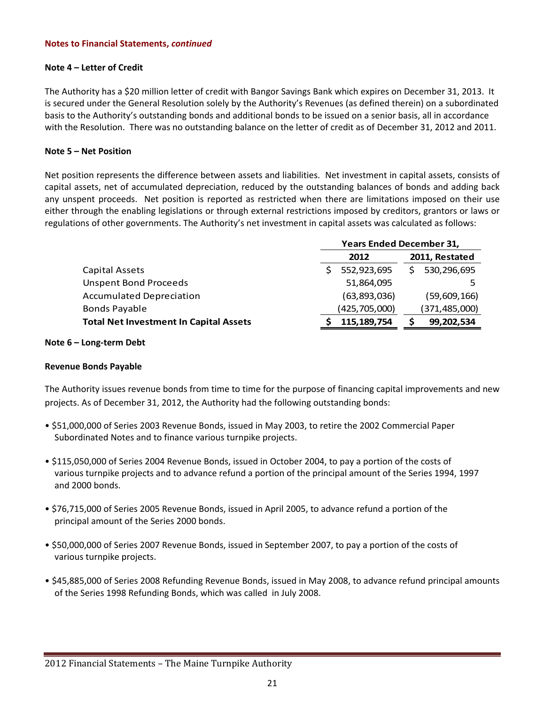# **Note 4 – Letter of Credit**

The Authority has a \$20 million letter of credit with Bangor Savings Bank which expires on December 31, 2013. It is secured under the General Resolution solely by the Authority's Revenues (as defined therein) on a subordinated basis to the Authority's outstanding bonds and additional bonds to be issued on a senior basis, all in accordance with the Resolution. There was no outstanding balance on the letter of credit as of December 31, 2012 and 2011.

# **Note 5 – Net Position**

Net position represents the difference between assets and liabilities. Net investment in capital assets, consists of capital assets, net of accumulated depreciation, reduced by the outstanding balances of bonds and adding back any unspent proceeds. Net position is reported as restricted when there are limitations imposed on their use either through the enabling legislations or through external restrictions imposed by creditors, grantors or laws or regulations of other governments. The Authority's net investment in capital assets was calculated as follows:

|                                               | <b>Years Ended December 31,</b> |                |  |  |  |
|-----------------------------------------------|---------------------------------|----------------|--|--|--|
|                                               | 2012                            | 2011, Restated |  |  |  |
| <b>Capital Assets</b>                         | 552,923,695<br>S.               | 530,296,695    |  |  |  |
| <b>Unspent Bond Proceeds</b>                  | 51,864,095                      |                |  |  |  |
| <b>Accumulated Depreciation</b>               | (63,893,036)                    | (59,609,166)   |  |  |  |
| Bonds Payable                                 | (425,705,000)                   | (371,485,000)  |  |  |  |
| <b>Total Net Investment In Capital Assets</b> | 115,189,754                     | 99,202,534     |  |  |  |

#### **Note 6 – Long‐term Debt**

# **Revenue Bonds Payable**

The Authority issues revenue bonds from time to time for the purpose of financing capital improvements and new projects. As of December 31, 2012, the Authority had the following outstanding bonds:

- \$51,000,000 of Series 2003 Revenue Bonds, issued in May 2003, to retire the 2002 Commercial Paper Subordinated Notes and to finance various turnpike projects.
- \$115,050,000 of Series 2004 Revenue Bonds, issued in October 2004, to pay a portion of the costs of various turnpike projects and to advance refund a portion of the principal amount of the Series 1994, 1997 and 2000 bonds.
- \$76,715,000 of Series 2005 Revenue Bonds, issued in April 2005, to advance refund a portion of the principal amount of the Series 2000 bonds.
- \$50,000,000 of Series 2007 Revenue Bonds, issued in September 2007, to pay a portion of the costs of various turnpike projects.
- \$45,885,000 of Series 2008 Refunding Revenue Bonds, issued in May 2008, to advance refund principal amounts of the Series 1998 Refunding Bonds, which was called in July 2008.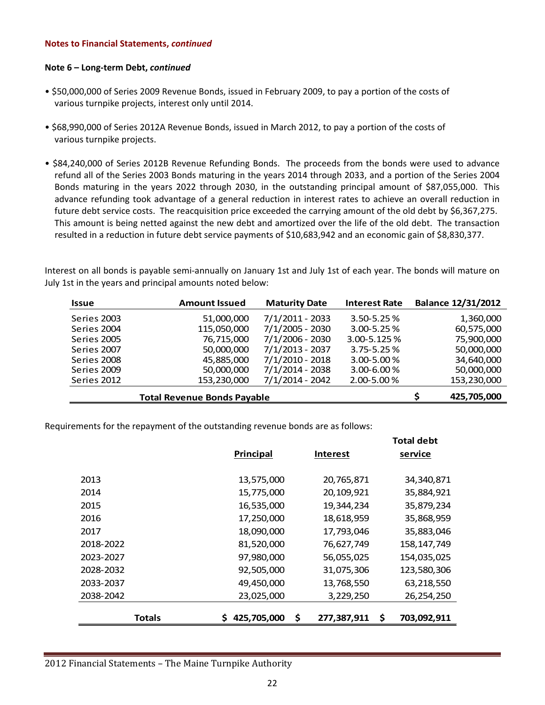#### **Note 6 – Long‐term Debt,** *continued*

- \$50,000,000 of Series 2009 Revenue Bonds, issued in February 2009, to pay a portion of the costs of various turnpike projects, interest only until 2014.
- \$68,990,000 of Series 2012A Revenue Bonds, issued in March 2012, to pay a portion of the costs of various turnpike projects.
- \$84,240,000 of Series 2012B Revenue Refunding Bonds. The proceeds from the bonds were used to advance refund all of the Series 2003 Bonds maturing in the years 2014 through 2033, and a portion of the Series 2004 Bonds maturing in the years 2022 through 2030, in the outstanding principal amount of \$87,055,000. This advance refunding took advantage of a general reduction in interest rates to achieve an overall reduction in future debt service costs. The reacquisition price exceeded the carrying amount of the old debt by \$6,367,275. This amount is being netted against the new debt and amortized over the life of the old debt. The transaction resulted in a reduction in future debt service payments of \$10,683,942 and an economic gain of \$8,830,377.

Interest on all bonds is payable semi‐annually on January 1st and July 1st of each year. The bonds will mature on July 1st in the years and principal amounts noted below:

| <b>Issue</b> | <b>Amount Issued</b> | <b>Maturity Date</b> | <b>Interest Rate</b> | <b>Balance 12/31/2012</b> |
|--------------|----------------------|----------------------|----------------------|---------------------------|
| Series 2003  | 51,000,000           | $7/1/2011 - 2033$    | 3.50-5.25%           | 1,360,000                 |
| Series 2004  | 115,050,000          | 7/1/2005 - 2030      | 3.00-5.25%           | 60,575,000                |
| Series 2005  | 76,715,000           | 7/1/2006 - 2030      | 3.00-5.125 %         | 75,900,000                |
| Series 2007  | 50,000,000           | $7/1/2013 - 2037$    | 3.75-5.25%           | 50,000,000                |
| Series 2008  | 45,885,000           | $7/1/2010 - 2018$    | $3.00 - 5.00 %$      | 34,640,000                |
| Series 2009  | 50,000,000           | $7/1/2014 - 2038$    | 3.00-6.00%           | 50,000,000                |
| Series 2012  | 153,230,000          | 7/1/2014 - 2042      | 2.00-5.00%           | 153,230,000               |
|              | 425,705,000          |                      |                      |                           |

Requirements for the repayment of the outstanding revenue bonds are as follows:

|           |                  |                   | Total debt       |
|-----------|------------------|-------------------|------------------|
|           | Principal        | <b>Interest</b>   | service          |
|           |                  |                   |                  |
| 2013      | 13,575,000       | 20,765,871        | 34,340,871       |
| 2014      | 15,775,000       | 20,109,921        | 35,884,921       |
| 2015      | 16,535,000       | 19,344,234        | 35,879,234       |
| 2016      | 17,250,000       | 18,618,959        | 35,868,959       |
| 2017      | 18,090,000       | 17,793,046        | 35,883,046       |
| 2018-2022 | 81,520,000       | 76,627,749        | 158,147,749      |
| 2023-2027 | 97,980,000       | 56,055,025        | 154,035,025      |
| 2028-2032 | 92,505,000       | 31,075,306        | 123,580,306      |
| 2033-2037 | 49,450,000       | 13,768,550        | 63,218,550       |
| 2038-2042 | 23,025,000       | 3,229,250         | 26,254,250       |
|           |                  |                   |                  |
| Totals    | 425,705,000<br>S | \$<br>277,387,911 | Ś<br>703,092,911 |
|           |                  |                   |                  |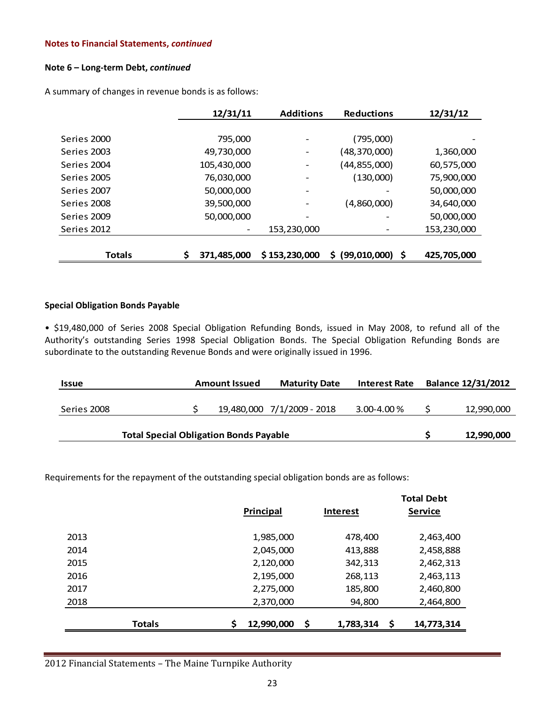# **Note 6 – Long‐term Debt,** *continued*

|               | 12/31/11                 | <b>Additions</b> | <b>Reductions</b>    | 12/31/12    |
|---------------|--------------------------|------------------|----------------------|-------------|
|               |                          |                  |                      |             |
| Series 2000   | 795,000                  |                  | (795,000)            |             |
| Series 2003   | 49,730,000               |                  | (48,370,000)         | 1,360,000   |
| Series 2004   | 105,430,000              |                  | (44, 855, 000)       | 60,575,000  |
| Series 2005   | 76,030,000               |                  | (130,000)            | 75,900,000  |
| Series 2007   | 50,000,000               |                  |                      | 50,000,000  |
| Series 2008   | 39,500,000               |                  | (4,860,000)          | 34,640,000  |
| Series 2009   | 50,000,000               | -                | -                    | 50,000,000  |
| Series 2012   | $\overline{\phantom{a}}$ | 153,230,000      |                      | 153,230,000 |
|               |                          |                  |                      |             |
| <b>Totals</b> | \$<br>371,485,000        | \$153,230,000    | (99,010,000) \$<br>S | 425,705,000 |

A summary of changes in revenue bonds is as follows:

# **Special Obligation Bonds Payable**

• \$19,480,000 of Series 2008 Special Obligation Refunding Bonds, issued in May 2008, to refund all of the Authority's outstanding Series 1998 Special Obligation Bonds. The Special Obligation Refunding Bonds are subordinate to the outstanding Revenue Bonds and were originally issued in 1996.

| <b>Issue</b>                                  |  | <b>Amount Issued</b> | <b>Maturity Date</b>       | <b>Interest Rate</b> |  | <b>Balance 12/31/2012</b> |
|-----------------------------------------------|--|----------------------|----------------------------|----------------------|--|---------------------------|
| Series 2008                                   |  |                      | 19,480,000 7/1/2009 - 2018 | $3.00 - 4.00 %$      |  | 12,990,000                |
| <b>Total Special Obligation Bonds Payable</b> |  |                      |                            |                      |  | 12,990,000                |

Requirements for the repayment of the outstanding special obligation bonds are as follows:

|               |                  |                 | <b>Total Debt</b> |
|---------------|------------------|-----------------|-------------------|
|               | Principal        | <b>Interest</b> | Service           |
|               |                  |                 |                   |
| 2013          | 1,985,000        | 478,400         | 2,463,400         |
| 2014          | 2,045,000        | 413,888         | 2,458,888         |
| 2015          | 2,120,000        | 342,313         | 2,462,313         |
| 2016          | 2,195,000        | 268,113         | 2,463,113         |
| 2017          | 2,275,000        | 185,800         | 2,460,800         |
| 2018          | 2,370,000        | 94,800          | 2,464,800         |
|               |                  |                 |                   |
| <b>Totals</b> | \$<br>12,990,000 | \$<br>1,783,314 | 14,773,314        |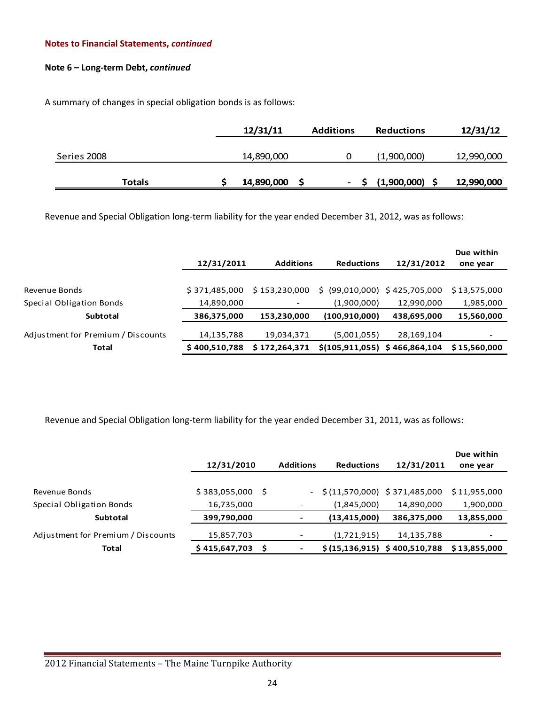# **Note 6 – Long‐term Debt,** *continued*

A summary of changes in special obligation bonds is as follows:

|             |               | 12/31/11   | <b>Additions</b> | <b>Reductions</b> | 12/31/12   |
|-------------|---------------|------------|------------------|-------------------|------------|
|             |               |            |                  |                   |            |
| Series 2008 |               | 14,890,000 |                  | (1,900,000)       | 12,990,000 |
|             |               |            |                  |                   |            |
|             | <b>Totals</b> | 14,890,000 |                  | $(1,900,000)$ \$  | 12,990,000 |

Revenue and Special Obligation long-term liability for the year ended December 31, 2012, was as follows:

|                                    | 12/31/2011    | <b>Additions</b>         | <b>Reductions</b>  | 12/31/2012    | Due within<br>one year |
|------------------------------------|---------------|--------------------------|--------------------|---------------|------------------------|
|                                    |               |                          |                    |               |                        |
| Revenue Bonds                      | \$371,485,000 | \$153,230,000            | (99,010,000)<br>S. | \$425,705,000 | \$13,575,000           |
| Special Obligation Bonds           | 14,890,000    | $\overline{\phantom{a}}$ | (1,900,000)        | 12,990,000    | 1,985,000              |
| <b>Subtotal</b>                    | 386,375,000   | 153,230,000              | (100, 910, 000)    | 438,695,000   | 15,560,000             |
| Adjustment for Premium / Discounts | 14,135,788    | 19,034,371               | (5,001,055)        | 28,169,104    | -                      |
| Total                              | \$400,510,788 | \$172,264,371            | \$(105, 911, 055)  | \$466,864,104 | \$15,560,000           |

Revenue and Special Obligation long‐term liability for the year ended December 31, 2011, was as follows:

|                                    | 12/31/2010    |              | <b>Additions</b> | <b>Reductions</b>            | 12/31/2011                        | Due within<br>one year |
|------------------------------------|---------------|--------------|------------------|------------------------------|-----------------------------------|------------------------|
|                                    |               |              |                  |                              |                                   |                        |
| Revenue Bonds                      | \$383,055,000 | <sub>S</sub> |                  | \$(11,570,000) \$371,485,000 |                                   | \$11,955,000           |
| Special Obligation Bonds           | 16,735,000    |              |                  | (1,845,000)                  | 14,890,000                        | 1,900,000              |
| <b>Subtotal</b>                    | 399,790,000   |              |                  | (13, 415, 000)               | 386,375,000                       | 13,855,000             |
| Adjustment for Premium / Discounts | 15,857,703    |              |                  | (1,721,915)                  | 14,135,788                        |                        |
| <b>Total</b>                       | \$415,647,703 |              |                  |                              | \$(15, 136, 915) \$400, 510, 788] | \$13,855,000           |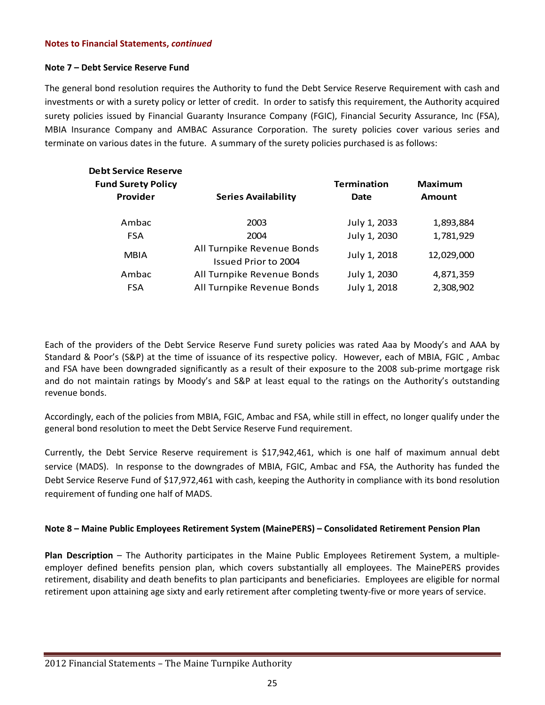# **Note 7 – Debt Service Reserve Fund**

The general bond resolution requires the Authority to fund the Debt Service Reserve Requirement with cash and investments or with a surety policy or letter of credit. In order to satisfy this requirement, the Authority acquired surety policies issued by Financial Guaranty Insurance Company (FGIC), Financial Security Assurance, Inc (FSA), MBIA Insurance Company and AMBAC Assurance Corporation. The surety policies cover various series and terminate on various dates in the future. A summary of the surety policies purchased is as follows:

|                                                    |              | <b>Maximum</b>     |
|----------------------------------------------------|--------------|--------------------|
| <b>Series Availability</b>                         | Date         | Amount             |
| 2003                                               | July 1, 2033 | 1,893,884          |
| 2004                                               | July 1, 2030 | 1,781,929          |
| All Turnpike Revenue Bonds<br>Issued Prior to 2004 | July 1, 2018 | 12,029,000         |
| All Turnpike Revenue Bonds                         | July 1, 2030 | 4,871,359          |
| All Turnpike Revenue Bonds                         | July 1, 2018 | 2,308,902          |
|                                                    |              | <b>Termination</b> |

Each of the providers of the Debt Service Reserve Fund surety policies was rated Aaa by Moody's and AAA by Standard & Poor's (S&P) at the time of issuance of its respective policy. However, each of MBIA, FGIC , Ambac and FSA have been downgraded significantly as a result of their exposure to the 2008 sub‐prime mortgage risk and do not maintain ratings by Moody's and S&P at least equal to the ratings on the Authority's outstanding revenue bonds.

Accordingly, each of the policies from MBIA, FGIC, Ambac and FSA, while still in effect, no longer qualify under the general bond resolution to meet the Debt Service Reserve Fund requirement.

Currently, the Debt Service Reserve requirement is \$17,942,461, which is one half of maximum annual debt service (MADS). In response to the downgrades of MBIA, FGIC, Ambac and FSA, the Authority has funded the Debt Service Reserve Fund of \$17,972,461 with cash, keeping the Authority in compliance with its bond resolution requirement of funding one half of MADS.

# **Note 8 – Maine Public Employees Retirement System (MainePERS) – Consolidated Retirement Pension Plan**

**Plan Description** – The Authority participates in the Maine Public Employees Retirement System, a multiple‐ employer defined benefits pension plan, which covers substantially all employees. The MainePERS provides retirement, disability and death benefits to plan participants and beneficiaries. Employees are eligible for normal retirement upon attaining age sixty and early retirement after completing twenty‐five or more years of service.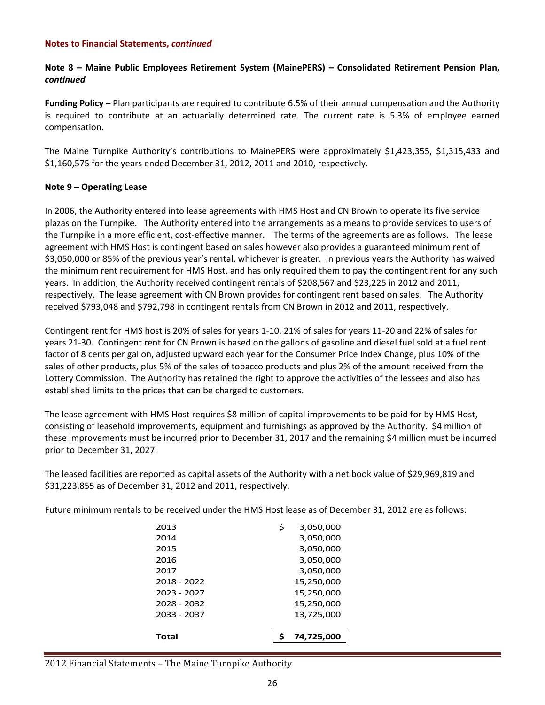# **Note 8 – Maine Public Employees Retirement System (MainePERS) – Consolidated Retirement Pension Plan,** *continued*

**Funding Policy** – Plan participants are required to contribute 6.5% of their annual compensation and the Authority is required to contribute at an actuarially determined rate. The current rate is 5.3% of employee earned compensation.

The Maine Turnpike Authority's contributions to MainePERS were approximately \$1,423,355, \$1,315,433 and \$1,160,575 for the years ended December 31, 2012, 2011 and 2010, respectively.

# **Note 9 – Operating Lease**

In 2006, the Authority entered into lease agreements with HMS Host and CN Brown to operate its five service plazas on the Turnpike. The Authority entered into the arrangements as a means to provide services to users of the Turnpike in a more efficient, cost-effective manner. The terms of the agreements are as follows. The lease agreement with HMS Host is contingent based on sales however also provides a guaranteed minimum rent of \$3,050,000 or 85% of the previous year's rental, whichever is greater. In previous years the Authority has waived the minimum rent requirement for HMS Host, and has only required them to pay the contingent rent for any such years. In addition, the Authority received contingent rentals of \$208,567 and \$23,225 in 2012 and 2011, respectively. The lease agreement with CN Brown provides for contingent rent based on sales. The Authority received \$793,048 and \$792,798 in contingent rentals from CN Brown in 2012 and 2011, respectively.

Contingent rent for HMS host is 20% of sales for years 1‐10, 21% of sales for years 11‐20 and 22% of sales for years 21‐30. Contingent rent for CN Brown is based on the gallons of gasoline and diesel fuel sold at a fuel rent factor of 8 cents per gallon, adjusted upward each year for the Consumer Price Index Change, plus 10% of the sales of other products, plus 5% of the sales of tobacco products and plus 2% of the amount received from the Lottery Commission. The Authority has retained the right to approve the activities of the lessees and also has established limits to the prices that can be charged to customers.

The lease agreement with HMS Host requires \$8 million of capital improvements to be paid for by HMS Host, consisting of leasehold improvements, equipment and furnishings as approved by the Authority. \$4 million of these improvements must be incurred prior to December 31, 2017 and the remaining \$4 million must be incurred prior to December 31, 2027.

The leased facilities are reported as capital assets of the Authority with a net book value of \$29,969,819 and \$31,223,855 as of December 31, 2012 and 2011, respectively.

Future minimum rentals to be received under the HMS Host lease as of December 31, 2012 are as follows:

| 2013         |             | \$<br>3,050,000 |
|--------------|-------------|-----------------|
| 2014         |             | 3,050,000       |
| 2015         |             | 3,050,000       |
| 2016         |             | 3,050,000       |
| 2017         |             | 3,050,000       |
|              | 2018 - 2022 | 15,250,000      |
|              | 2023 - 2027 | 15,250,000      |
|              | 2028 - 2032 | 15,250,000      |
|              | 2033 - 2037 | 13,725,000      |
|              |             |                 |
| <b>Total</b> |             | 74,725,000      |
|              |             |                 |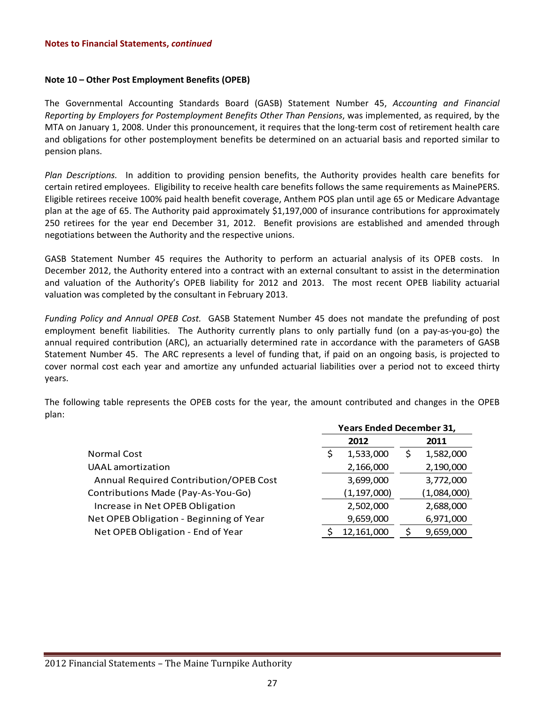# **Note 10 – Other Post Employment Benefits (OPEB)**

The Governmental Accounting Standards Board (GASB) Statement Number 45, *Accounting and Financial Reporting by Employers for Postemployment Benefits Other Than Pensions*, was implemented, as required, by the MTA on January 1, 2008. Under this pronouncement, it requires that the long-term cost of retirement health care and obligations for other postemployment benefits be determined on an actuarial basis and reported similar to pension plans.

*Plan Descriptions.* In addition to providing pension benefits, the Authority provides health care benefits for certain retired employees. Eligibility to receive health care benefits follows the same requirements as MainePERS. Eligible retirees receive 100% paid health benefit coverage, Anthem POS plan until age 65 or Medicare Advantage plan at the age of 65. The Authority paid approximately \$1,197,000 of insurance contributions for approximately 250 retirees for the year end December 31, 2012. Benefit provisions are established and amended through negotiations between the Authority and the respective unions.

GASB Statement Number 45 requires the Authority to perform an actuarial analysis of its OPEB costs. In December 2012, the Authority entered into a contract with an external consultant to assist in the determination and valuation of the Authority's OPEB liability for 2012 and 2013. The most recent OPEB liability actuarial valuation was completed by the consultant in February 2013.

*Funding Policy and Annual OPEB Cost.* GASB Statement Number 45 does not mandate the prefunding of post employment benefit liabilities. The Authority currently plans to only partially fund (on a pay-as-you-go) the annual required contribution (ARC), an actuarially determined rate in accordance with the parameters of GASB Statement Number 45. The ARC represents a level of funding that, if paid on an ongoing basis, is projected to cover normal cost each year and amortize any unfunded actuarial liabilities over a period not to exceed thirty years.

The following table represents the OPEB costs for the year, the amount contributed and changes in the OPEB plan:

|                                         | <b>Years Ended December 31,</b> |               |    |             |  |
|-----------------------------------------|---------------------------------|---------------|----|-------------|--|
|                                         | 2012                            |               |    | 2011        |  |
| Normal Cost                             |                                 | 1,533,000     | \$ | 1,582,000   |  |
| <b>UAAL</b> amortization                |                                 | 2,166,000     |    | 2,190,000   |  |
| Annual Required Contribution/OPEB Cost  |                                 | 3,699,000     |    | 3,772,000   |  |
| Contributions Made (Pay-As-You-Go)      |                                 | (1, 197, 000) |    | (1,084,000) |  |
| Increase in Net OPEB Obligation         |                                 | 2,502,000     |    | 2,688,000   |  |
| Net OPEB Obligation - Beginning of Year |                                 | 9,659,000     |    | 6,971,000   |  |
| Net OPEB Obligation - End of Year       |                                 | 12,161,000    |    | 9,659,000   |  |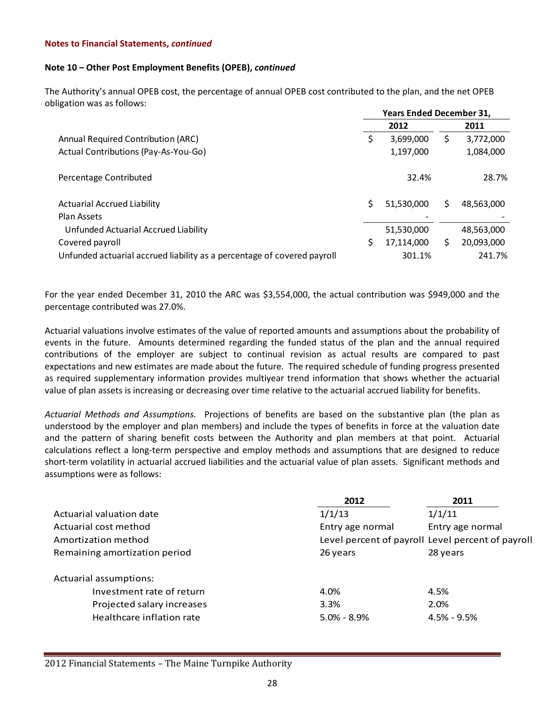# **Note 10 – Other Post Employment Benefits (OPEB),** *continued*

The Authority's annual OPEB cost, the percentage of annual OPEB cost contributed to the plan, and the net OPEB obligation was as follows:

|                                                                         | <b>Years Ended December 31,</b> |            |    |            |  |
|-------------------------------------------------------------------------|---------------------------------|------------|----|------------|--|
|                                                                         |                                 | 2012       |    | 2011       |  |
| <b>Annual Required Contribution (ARC)</b>                               | \$                              | 3,699,000  | \$ | 3,772,000  |  |
| Actual Contributions (Pay-As-You-Go)                                    |                                 | 1,197,000  |    | 1,084,000  |  |
| Percentage Contributed                                                  |                                 | 32.4%      |    | 28.7%      |  |
| <b>Actuarial Accrued Liability</b>                                      | Ś.                              | 51,530,000 | \$ | 48,563,000 |  |
| Plan Assets                                                             |                                 |            |    |            |  |
| Unfunded Actuarial Accrued Liability                                    |                                 | 51,530,000 |    | 48,563,000 |  |
| Covered payroll                                                         | \$                              | 17,114,000 | \$ | 20,093,000 |  |
| Unfunded actuarial accrued liability as a percentage of covered payroll |                                 | 301.1%     |    | 241.7%     |  |

For the year ended December 31, 2010 the ARC was \$3,554,000, the actual contribution was \$949,000 and the percentage contributed was 27.0%.

Actuarial valuations involve estimates of the value of reported amounts and assumptions about the probability of events in the future. Amounts determined regarding the funded status of the plan and the annual required contributions of the employer are subject to continual revision as actual results are compared to past expectations and new estimates are made about the future. The required schedule of funding progress presented as required supplementary information provides multiyear trend information that shows whether the actuarial value of plan assets is increasing or decreasing over time relative to the actuarial accrued liability for benefits.

*Actuarial Methods and Assumptions.*  Projections of benefits are based on the substantive plan (the plan as understood by the employer and plan members) and include the types of benefits in force at the valuation date and the pattern of sharing benefit costs between the Authority and plan members at that point. Actuarial calculations reflect a long‐term perspective and employ methods and assumptions that are designed to reduce short-term volatility in actuarial accrued liabilities and the actuarial value of plan assets. Significant methods and assumptions were as follows:

|                               | 2012             | 2011                                              |
|-------------------------------|------------------|---------------------------------------------------|
| Actuarial valuation date      | 1/1/13           | 1/1/11                                            |
| Actuarial cost method         | Entry age normal | Entry age normal                                  |
| Amortization method           |                  | Level percent of payroll Level percent of payroll |
| Remaining amortization period | 26 years         | 28 years                                          |
| Actuarial assumptions:        |                  |                                                   |
| Investment rate of return     | 4.0%             | 4.5%                                              |
| Projected salary increases    | 3.3%             | 2.0%                                              |
| Healthcare inflation rate     | $5.0\% - 8.9\%$  | $4.5% - 9.5%$                                     |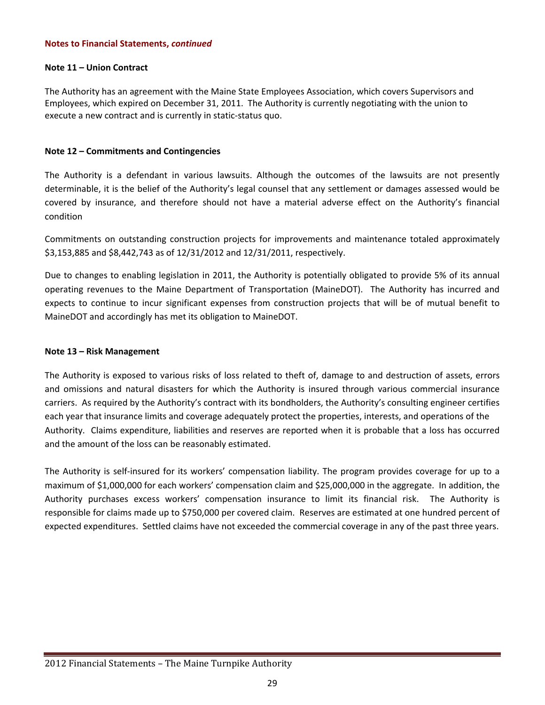# **Note 11 – Union Contract**

The Authority has an agreement with the Maine State Employees Association, which covers Supervisors and Employees, which expired on December 31, 2011. The Authority is currently negotiating with the union to execute a new contract and is currently in static‐status quo.

# **Note 12 – Commitments and Contingencies**

The Authority is a defendant in various lawsuits. Although the outcomes of the lawsuits are not presently determinable, it is the belief of the Authority's legal counsel that any settlement or damages assessed would be covered by insurance, and therefore should not have a material adverse effect on the Authority's financial condition

Commitments on outstanding construction projects for improvements and maintenance totaled approximately \$3,153,885 and \$8,442,743 as of 12/31/2012 and 12/31/2011, respectively.

Due to changes to enabling legislation in 2011, the Authority is potentially obligated to provide 5% of its annual operating revenues to the Maine Department of Transportation (MaineDOT). The Authority has incurred and expects to continue to incur significant expenses from construction projects that will be of mutual benefit to MaineDOT and accordingly has met its obligation to MaineDOT.

# **Note 13 – Risk Management**

The Authority is exposed to various risks of loss related to theft of, damage to and destruction of assets, errors and omissions and natural disasters for which the Authority is insured through various commercial insurance carriers. As required by the Authority's contract with its bondholders, the Authority's consulting engineer certifies each year that insurance limits and coverage adequately protect the properties, interests, and operations of the Authority. Claims expenditure, liabilities and reserves are reported when it is probable that a loss has occurred and the amount of the loss can be reasonably estimated.

The Authority is self-insured for its workers' compensation liability. The program provides coverage for up to a maximum of \$1,000,000 for each workers' compensation claim and \$25,000,000 in the aggregate. In addition, the Authority purchases excess workers' compensation insurance to limit its financial risk. The Authority is responsible for claims made up to \$750,000 per covered claim. Reserves are estimated at one hundred percent of expected expenditures. Settled claims have not exceeded the commercial coverage in any of the past three years.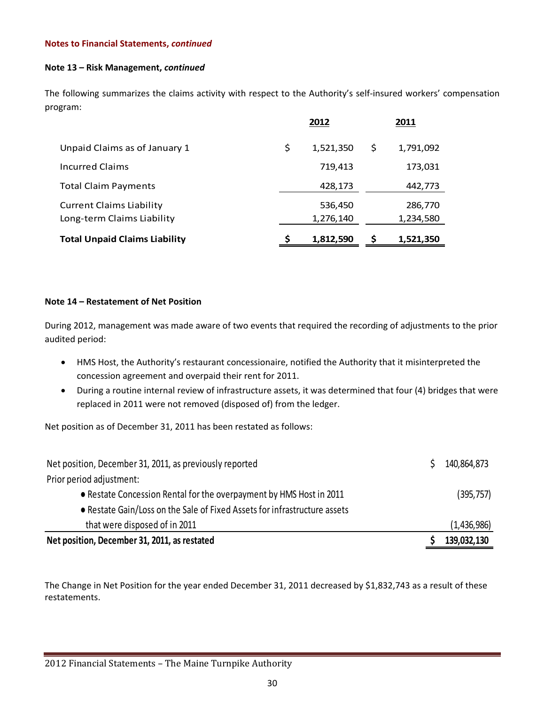# **Note 13 – Risk Management,** *continued*

The following summarizes the claims activity with respect to the Authority's self-insured workers' compensation program:

|                                                               | 2012                 | 2011                 |
|---------------------------------------------------------------|----------------------|----------------------|
| Unpaid Claims as of January 1                                 | \$<br>1,521,350      | \$<br>1,791,092      |
| Incurred Claims                                               | 719,413              | 173,031              |
| <b>Total Claim Payments</b>                                   | 428,173              | 442,773              |
| <b>Current Claims Liability</b><br>Long-term Claims Liability | 536,450<br>1,276,140 | 286,770<br>1,234,580 |
| <b>Total Unpaid Claims Liability</b>                          | 1,812,590            | 1,521,350            |

#### **Note 14 – Restatement of Net Position**

During 2012, management was made aware of two events that required the recording of adjustments to the prior audited period:

- HMS Host, the Authority's restaurant concessionaire, notified the Authority that it misinterpreted the concession agreement and overpaid their rent for 2011.
- During a routine internal review of infrastructure assets, it was determined that four (4) bridges that were replaced in 2011 were not removed (disposed of) from the ledger.

Net position as of December 31, 2011 has been restated as follows:

| Net position, December 31, 2011, as previously reported                   | 140,864,873 |
|---------------------------------------------------------------------------|-------------|
| Prior period adjustment:                                                  |             |
| • Restate Concession Rental for the overpayment by HMS Host in 2011       | (395, 757)  |
| • Restate Gain/Loss on the Sale of Fixed Assets for infrastructure assets |             |
| that were disposed of in 2011                                             | (1,436,986) |
| Net position, December 31, 2011, as restated                              | 139,032,130 |

The Change in Net Position for the year ended December 31, 2011 decreased by \$1,832,743 as a result of these restatements.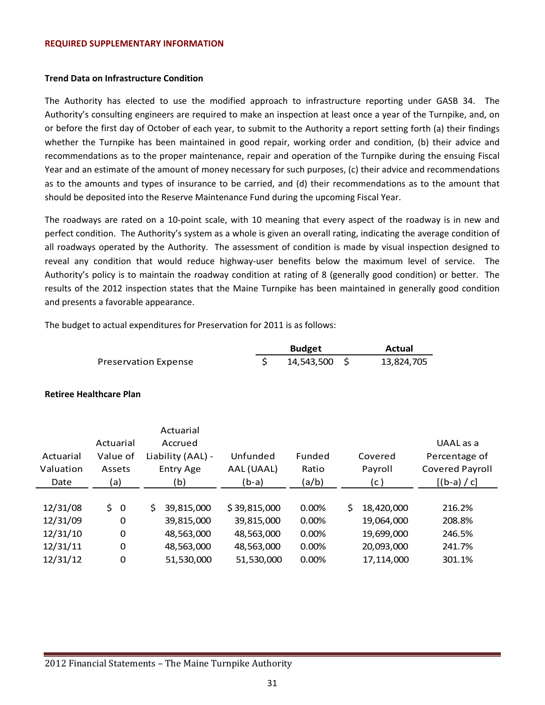#### **REQUIRED SUPPLEMENTARY INFORMATION**

#### **Trend Data on Infrastructure Condition**

The Authority has elected to use the modified approach to infrastructure reporting under GASB 34. The Authority's consulting engineers are required to make an inspection at least once a year of the Turnpike, and, on or before the first day of October of each year, to submit to the Authority a report setting forth (a) their findings whether the Turnpike has been maintained in good repair, working order and condition, (b) their advice and recommendations as to the proper maintenance, repair and operation of the Turnpike during the ensuing Fiscal Year and an estimate of the amount of money necessary for such purposes, (c) their advice and recommendations as to the amounts and types of insurance to be carried, and (d) their recommendations as to the amount that should be deposited into the Reserve Maintenance Fund during the upcoming Fiscal Year.

The roadways are rated on a 10‐point scale, with 10 meaning that every aspect of the roadway is in new and perfect condition. The Authority's system as a whole is given an overall rating, indicating the average condition of all roadways operated by the Authority. The assessment of condition is made by visual inspection designed to reveal any condition that would reduce highway-user benefits below the maximum level of service. The Authority's policy is to maintain the roadway condition at rating of 8 (generally good condition) or better. The results of the 2012 inspection states that the Maine Turnpike has been maintained in generally good condition and presents a favorable appearance.

The budget to actual expenditures for Preservation for 2011 is as follows:

|                             | <b>Budget</b> |            |  | Actual     |
|-----------------------------|---------------|------------|--|------------|
| <b>Preservation Expense</b> |               | 14,543,500 |  | 13,824,705 |

#### **Retiree Healthcare Plan**

|           |           | Actuarial         |              |        |                  |                 |
|-----------|-----------|-------------------|--------------|--------|------------------|-----------------|
|           | Actuarial | Accrued           |              |        |                  | UAAL as a       |
| Actuarial | Value of  | Liability (AAL) - | Unfunded     | Funded | Covered          | Percentage of   |
| Valuation | Assets    | <b>Entry Age</b>  | AAL (UAAL)   | Ratio  | Payroll          | Covered Payroll |
| Date      | (a)       | (b)               | (b-a)        | (a/b)  | (c)              | $[(b-a) / c]$   |
|           |           |                   |              |        |                  |                 |
| 12/31/08  | $\sin 0$  | 39,815,000<br>S   | \$39,815,000 | 0.00%  | 18,420,000<br>\$ | 216.2%          |
| 12/31/09  | 0         | 39,815,000        | 39,815,000   | 0.00%  | 19,064,000       | 208.8%          |
| 12/31/10  | 0         | 48,563,000        | 48,563,000   | 0.00%  | 19,699,000       | 246.5%          |
| 12/31/11  | 0         | 48,563,000        | 48,563,000   | 0.00%  | 20,093,000       | 241.7%          |
| 12/31/12  | 0         | 51,530,000        | 51,530,000   | 0.00%  | 17,114,000       | 301.1%          |